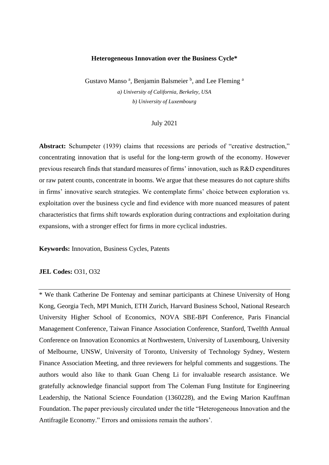#### **Heterogeneous Innovation over the Business Cycle\***

Gustavo Manso<sup>a</sup>, Benjamin Balsmeier<sup>b</sup>, and Lee Fleming<sup>a</sup> *a) University of California, Berkeley, USA b) University of Luxembourg*

#### July 2021

Abstract: Schumpeter (1939) claims that recessions are periods of "creative destruction," concentrating innovation that is useful for the long-term growth of the economy. However previous research finds that standard measures of firms' innovation, such as R&D expenditures or raw patent counts, concentrate in booms. We argue that these measures do not capture shifts in firms' innovative search strategies. We contemplate firms' choice between exploration vs. exploitation over the business cycle and find evidence with more nuanced measures of patent characteristics that firms shift towards exploration during contractions and exploitation during expansions, with a stronger effect for firms in more cyclical industries.

**Keywords:** Innovation, Business Cycles, Patents

## **JEL Codes: 031, 032**

\* We thank Catherine De Fontenay and seminar participants at Chinese University of Hong Kong, Georgia Tech, MPI Munich, ETH Zurich, Harvard Business School, National Research University Higher School of Economics, NOVA SBE-BPI Conference, Paris Financial Management Conference, Taiwan Finance Association Conference, Stanford, Twelfth Annual Conference on Innovation Economics at Northwestern, University of Luxembourg, University of Melbourne, UNSW, University of Toronto, University of Technology Sydney, Western Finance Association Meeting, and three reviewers for helpful comments and suggestions. The authors would also like to thank Guan Cheng Li for invaluable research assistance. We gratefully acknowledge financial support from The Coleman Fung Institute for Engineering Leadership, the National Science Foundation (1360228), and the Ewing Marion Kauffman Foundation. The paper previously circulated under the title "Heterogeneous Innovation and the Antifragile Economy." Errors and omissions remain the authors'.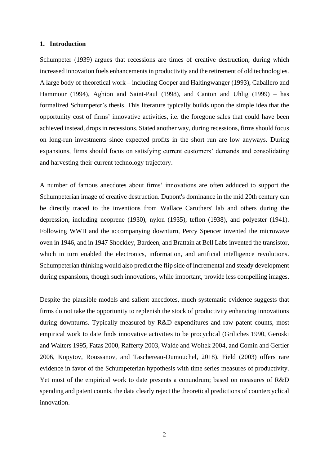## **1. Introduction**

Schumpeter (1939) argues that recessions are times of creative destruction, during which increased innovation fuels enhancements in productivity and the retirement of old technologies. A large body of theoretical work – including Cooper and Haltingwanger (1993), Caballero and Hammour (1994), Aghion and Saint-Paul (1998), and Canton and Uhlig (1999) – has formalized Schumpeter's thesis. This literature typically builds upon the simple idea that the opportunity cost of firms' innovative activities, i.e. the foregone sales that could have been achieved instead, drops in recessions. Stated another way, during recessions, firms should focus on long-run investments since expected profits in the short run are low anyways. During expansions, firms should focus on satisfying current customers' demands and consolidating and harvesting their current technology trajectory.

A number of famous anecdotes about firms' innovations are often adduced to support the Schumpeterian image of creative destruction. Dupont's dominance in the mid 20th century can be directly traced to the inventions from Wallace Caruthers' lab and others during the depression, including neoprene (1930), nylon (1935), teflon (1938), and polyester (1941). Following WWII and the accompanying downturn, Percy Spencer invented the microwave oven in 1946, and in 1947 Shockley, Bardeen, and Brattain at Bell Labs invented the transistor, which in turn enabled the electronics, information, and artificial intelligence revolutions. Schumpeterian thinking would also predict the flip side of incremental and steady development during expansions, though such innovations, while important, provide less compelling images.

Despite the plausible models and salient anecdotes, much systematic evidence suggests that firms do not take the opportunity to replenish the stock of productivity enhancing innovations during downturns. Typically measured by R&D expenditures and raw patent counts, most empirical work to date finds innovative activities to be procyclical (Griliches 1990, Geroski and Walters 1995, Fatas 2000, Rafferty 2003, Walde and Woitek 2004, and Comin and Gertler 2006, Kopytov, Roussanov, and Taschereau-Dumouchel, 2018). Field (2003) offers rare evidence in favor of the Schumpeterian hypothesis with time series measures of productivity. Yet most of the empirical work to date presents a conundrum; based on measures of R&D spending and patent counts, the data clearly reject the theoretical predictions of countercyclical innovation.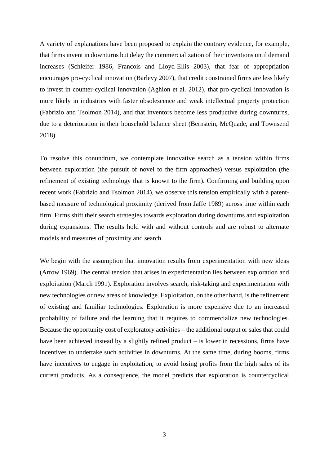A variety of explanations have been proposed to explain the contrary evidence, for example, that firms invent in downturns but delay the commercialization of their inventions until demand increases (Schleifer 1986, Francois and Lloyd-Ellis 2003), that fear of appropriation encourages pro-cyclical innovation (Barlevy 2007), that credit constrained firms are less likely to invest in counter-cyclical innovation (Aghion et al. 2012), that pro-cyclical innovation is more likely in industries with faster obsolescence and weak intellectual property protection (Fabrizio and Tsolmon 2014), and that inventors become less productive during downturns, due to a deterioration in their household balance sheet (Bernstein, McQuade, and Townsend 2018).

To resolve this conundrum, we contemplate innovative search as a tension within firms between exploration (the pursuit of novel to the firm approaches) versus exploitation (the refinement of existing technology that is known to the firm). Confirming and building upon recent work (Fabrizio and Tsolmon 2014), we observe this tension empirically with a patentbased measure of technological proximity (derived from Jaffe 1989) across time within each firm. Firms shift their search strategies towards exploration during downturns and exploitation during expansions. The results hold with and without controls and are robust to alternate models and measures of proximity and search.

We begin with the assumption that innovation results from experimentation with new ideas (Arrow 1969). The central tension that arises in experimentation lies between exploration and exploitation (March 1991). Exploration involves search, risk-taking and experimentation with new technologies or new areas of knowledge. Exploitation, on the other hand, is the refinement of existing and familiar technologies. Exploration is more expensive due to an increased probability of failure and the learning that it requires to commercialize new technologies. Because the opportunity cost of exploratory activities – the additional output or sales that could have been achieved instead by a slightly refined product – is lower in recessions, firms have incentives to undertake such activities in downturns. At the same time, during booms, firms have incentives to engage in exploitation, to avoid losing profits from the high sales of its current products. As a consequence, the model predicts that exploration is countercyclical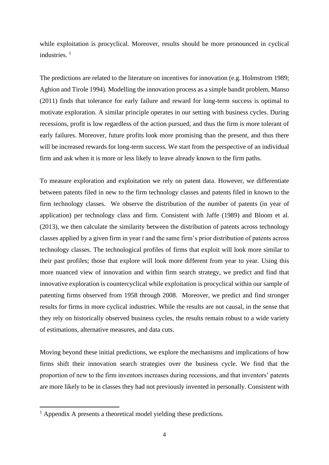while exploitation is procyclical. Moreover, results should be more pronounced in cyclical industries<sup>1</sup>

The predictions are related to the literature on incentives for innovation (e.g. Holmstrom 1989; Aghion and Tirole 1994). Modelling the innovation process as a simple bandit problem, Manso (2011) finds that tolerance for early failure and reward for long-term success is optimal to motivate exploration. A similar principle operates in our setting with business cycles. During recessions, profit is low regardless of the action pursued, and thus the firm is more tolerant of early failures. Moreover, future profits look more promising than the present, and thus there will be increased rewards for long-term success. We start from the perspective of an individual firm and ask when it is more or less likely to leave already known to the firm paths.

To measure exploration and exploitation we rely on patent data. However, we differentiate between patents filed in new to the firm technology classes and patents filed in known to the firm technology classes. We observe the distribution of the number of patents (in year of application) per technology class and firm. Consistent with Jaffe (1989) and Bloom et al. (2013), we then calculate the similarity between the distribution of patents across technology classes applied by a given firm in year *t* and the same firm's prior distribution of patents across technology classes. The technological profiles of firms that exploit will look more similar to their past profiles; those that explore will look more different from year to year. Using this more nuanced view of innovation and within firm search strategy, we predict and find that innovative exploration is countercyclical while exploitation is procyclical within our sample of patenting firms observed from 1958 through 2008. Moreover, we predict and find stronger results for firms in more cyclical industries. While the results are not causal, in the sense that they rely on historically observed business cycles, the results remain robust to a wide variety of estimations, alternative measures, and data cuts.

Moving beyond these initial predictions, we explore the mechanisms and implications of how firms shift their innovation search strategies over the business cycle. We find that the proportion of new to the firm inventors increases during recessions, and that inventors' patents are more likely to be in classes they had not previously invented in personally. Consistent with

 $<sup>1</sup>$  Appendix A presents a theoretical model yielding these predictions.</sup>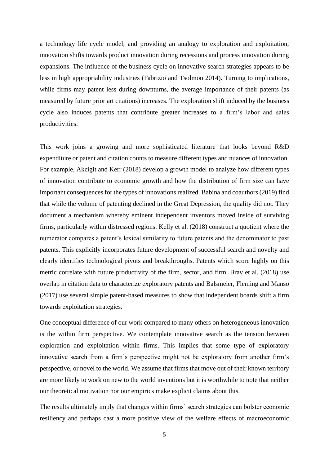a technology life cycle model, and providing an analogy to exploration and exploitation, innovation shifts towards product innovation during recessions and process innovation during expansions. The influence of the business cycle on innovative search strategies appears to be less in high appropriability industries (Fabrizio and Tsolmon 2014). Turning to implications, while firms may patent less during downturns, the average importance of their patents (as measured by future prior art citations) increases. The exploration shift induced by the business cycle also induces patents that contribute greater increases to a firm's labor and sales productivities.

This work joins a growing and more sophisticated literature that looks beyond R&D expenditure or patent and citation counts to measure different types and nuances of innovation. For example, Akcigit and Kerr (2018) develop a growth model to analyze how different types of innovation contribute to economic growth and how the distribution of firm size can have important consequences for the types of innovations realized. Babina and coauthors (2019) find that while the volume of patenting declined in the Great Depression, the quality did not. They document a mechanism whereby eminent independent inventors moved inside of surviving firms, particularly within distressed regions. Kelly et al. (2018) construct a quotient where the numerator compares a patent's lexical similarity to future patents and the denominator to past patents. This explicitly incorporates future development of successful search and novelty and clearly identifies technological pivots and breakthroughs. Patents which score highly on this metric correlate with future productivity of the firm, sector, and firm. Brav et al. (2018) use overlap in citation data to characterize exploratory patents and Balsmeier, Fleming and Manso (2017) use several simple patent-based measures to show that independent boards shift a firm towards exploitation strategies.

One conceptual difference of our work compared to many others on heterogeneous innovation is the within firm perspective. We contemplate innovative search as the tension between exploration and exploitation within firms. This implies that some type of exploratory innovative search from a firm's perspective might not be exploratory from another firm's perspective, or novel to the world. We assume that firms that move out of their known territory are more likely to work on new to the world inventions but it is worthwhile to note that neither our theoretical motivation nor our empirics make explicit claims about this.

The results ultimately imply that changes within firms' search strategies can bolster economic resiliency and perhaps cast a more positive view of the welfare effects of macroeconomic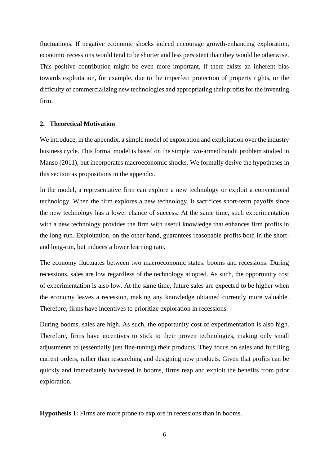fluctuations. If negative economic shocks indeed encourage growth-enhancing exploration, economic recessions would tend to be shorter and less persistent than they would be otherwise. This positive contribution might be even more important, if there exists an inherent bias towards exploitation, for example, due to the imperfect protection of property rights, or the difficulty of commercializing new technologies and appropriating their profits for the inventing firm.

#### **2. Theoretical Motivation**

We introduce, in the appendix, a simple model of exploration and exploitation over the industry business cycle. This formal model is based on the simple two-armed bandit problem studied in Manso (2011), but incorporates macroeconomic shocks. We formally derive the hypotheses in this section as propositions in the appendix.

In the model, a representative firm can explore a new technology or exploit a conventional technology. When the firm explores a new technology, it sacrifices short-term payoffs since the new technology has a lower chance of success. At the same time, such experimentation with a new technology provides the firm with useful knowledge that enhances firm profits in the long-run. Exploitation, on the other hand, guarantees reasonable profits both in the shortand long-run, but induces a lower learning rate.

The economy fluctuates between two macroeconomic states: booms and recessions. During recessions, sales are low regardless of the technology adopted. As such, the opportunity cost of experimentation is also low. At the same time, future sales are expected to be higher when the economy leaves a recession, making any knowledge obtained currently more valuable. Therefore, firms have incentives to prioritize exploration in recessions.

During booms, sales are high. As such, the opportunity cost of experimentation is also high. Therefore, firms have incentives to stick to their proven technologies, making only small adjustments to (essentially just fine-tuning) their products. They focus on sales and fulfilling current orders, rather than researching and designing new products. Given that profits can be quickly and immediately harvested in booms, firms reap and exploit the benefits from prior exploration.

**Hypothesis 1:** Firms are more prone to explore in recessions than in booms.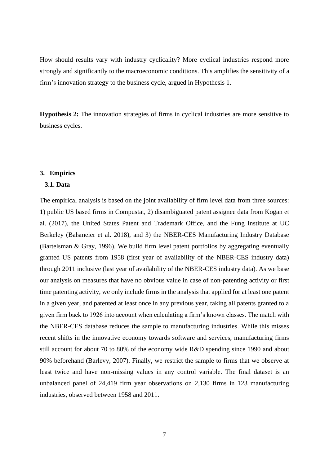How should results vary with industry cyclicality? More cyclical industries respond more strongly and significantly to the macroeconomic conditions. This amplifies the sensitivity of a firm's innovation strategy to the business cycle, argued in Hypothesis 1.

**Hypothesis 2:** The innovation strategies of firms in cyclical industries are more sensitive to business cycles.

## **3. Empirics**

#### **3.1. Data**

The empirical analysis is based on the joint availability of firm level data from three sources: 1) public US based firms in Compustat, 2) disambiguated patent assignee data from Kogan et al. (2017), the United States Patent and Trademark Office, and the Fung Institute at UC Berkeley (Balsmeier et al. 2018), and 3) the NBER-CES Manufacturing Industry Database (Bartelsman & Gray, 1996). We build firm level patent portfolios by aggregating eventually granted US patents from 1958 (first year of availability of the NBER-CES industry data) through 2011 inclusive (last year of availability of the NBER-CES industry data). As we base our analysis on measures that have no obvious value in case of non-patenting activity or first time patenting activity, we only include firms in the analysis that applied for at least one patent in a given year, and patented at least once in any previous year, taking all patents granted to a given firm back to 1926 into account when calculating a firm's known classes. The match with the NBER-CES database reduces the sample to manufacturing industries. While this misses recent shifts in the innovative economy towards software and services, manufacturing firms still account for about 70 to 80% of the economy wide R&D spending since 1990 and about 90% beforehand (Barlevy, 2007). Finally, we restrict the sample to firms that we observe at least twice and have non-missing values in any control variable. The final dataset is an unbalanced panel of 24,419 firm year observations on 2,130 firms in 123 manufacturing industries, observed between 1958 and 2011.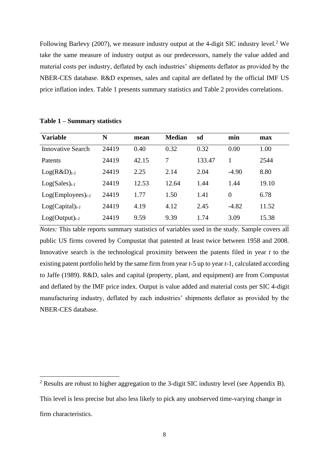Following Barlevy (2007), we measure industry output at the 4-digit SIC industry level.<sup>2</sup> We take the same measure of industry output as our predecessors, namely the value added and material costs per industry, deflated by each industries' shipments deflator as provided by the NBER-CES database. R&D expenses, sales and capital are deflated by the official IMF US price inflation index. Table 1 presents summary statistics and Table 2 provides correlations.

| <b>Variable</b>          | N     | mean  | <b>Median</b> | sd     | min     | max   |
|--------------------------|-------|-------|---------------|--------|---------|-------|
| <b>Innovative Search</b> | 24419 | 0.40  | 0.32          | 0.32   | 0.00    | 1.00  |
| Patents                  | 24419 | 42.15 | 7             | 133.47 |         | 2544  |
| $Log(R&D)_{t-1}$         | 24419 | 2.25  | 2.14          | 2.04   | $-4.90$ | 8.80  |
| $Log(Sales)_{t-1}$       | 24419 | 12.53 | 12.64         | 1.44   | 1.44    | 19.10 |
| $Log(Employes)_{t-1}$    | 24419 | 1.77  | 1.50          | 1.41   | 0       | 6.78  |
| $Log(Capital)_{t-1}$     | 24419 | 4.19  | 4.12          | 2.45   | $-4.82$ | 11.52 |
| $Log(Output)_{t-1}$      | 24419 | 9.59  | 9.39          | 1.74   | 3.09    | 15.38 |

**Table 1 – Summary statistics**

*Notes:* This table reports summary statistics of variables used in the study. Sample covers all public US firms covered by Compustat that patented at least twice between 1958 and 2008. Innovative search is the technological proximity between the patents filed in year *t* to the existing patent portfolio held by the same firm from year *t*-5 up to year *t*-1, calculated according to Jaffe (1989). R&D, sales and capital (property, plant, and equipment) are from Compustat and deflated by the IMF price index. Output is value added and material costs per SIC 4-digit manufacturing industry, deflated by each industries' shipments deflator as provided by the NBER-CES database.

<sup>&</sup>lt;sup>2</sup> Results are robust to higher aggregation to the 3-digit SIC industry level (see Appendix B). This level is less precise but also less likely to pick any unobserved time-varying change in firm characteristics.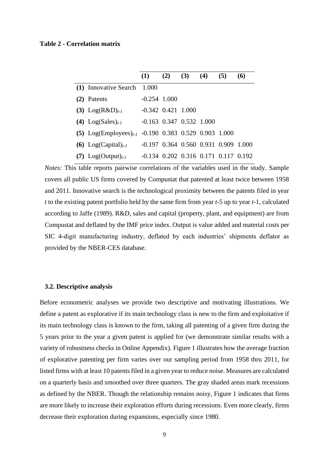#### **Table 2 - Correlation matrix**

|                                                          | (1)                                              | (2) | $(3)$ $(4)$ | (5) | <b>(6)</b> |
|----------------------------------------------------------|--------------------------------------------------|-----|-------------|-----|------------|
| (1) Innovative Search 1.000                              |                                                  |     |             |     |            |
| (2) Patents                                              | $-0.254$ 1.000                                   |     |             |     |            |
| (3) $Log(R&D)_{t-1}$                                     | $-0.342$ $0.421$ $1.000$                         |     |             |     |            |
| (4) $Log(Sales)_{t-1}$                                   | $-0.163$ 0.347 0.532 1.000                       |     |             |     |            |
| (5) $Log(Employes)_{t-1}$ -0.190 0.383 0.529 0.903 1.000 |                                                  |     |             |     |            |
| (6) $Log(Capital)_{t-1}$                                 | $-0.197$ 0.364 0.560 0.931 0.909 1.000           |     |             |     |            |
| $Log(Output)_{t-1}$                                      | $-0.134$ $0.202$ $0.316$ $0.171$ $0.117$ $0.192$ |     |             |     |            |

*Notes:* This table reports pairwise correlations of the variables used in the study. Sample covers all public US firms covered by Compustat that patented at least twice between 1958 and 2011. Innovative search is the technological proximity between the patents filed in year *t* to the existing patent portfolio held by the same firm from year *t*-5 up to year *t*-1, calculated according to Jaffe (1989). R&D, sales and capital (property, plant, and equipment) are from Compustat and deflated by the IMF price index. Output is value added and material costs per SIC 4-digit manufacturing industry, deflated by each industries' shipments deflator as provided by the NBER-CES database.

## **3.2. Descriptive analysis**

Before econometric analyses we provide two descriptive and motivating illustrations. We define a patent as explorative if its main technology class is new to the firm and exploitative if its main technology class is known to the firm, taking all patenting of a given firm during the 5 years prior to the year a given patent is applied for (we demonstrate similar results with a variety of robustness checks in Online Appendix). Figure 1 illustrates how the average fraction of explorative patenting per firm varies over our sampling period from 1958 thru 2011, for listed firms with at least 10 patents filed in a given year to reduce noise. Measures are calculated on a quarterly basis and smoothed over three quarters. The gray shaded areas mark recessions as defined by the NBER. Though the relationship remains noisy, Figure 1 indicates that firms are more likely to increase their exploration efforts during recessions. Even more clearly, firms decrease their exploration during expansions, especially since 1980.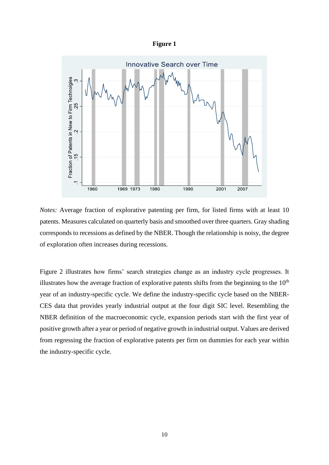|--|



*Notes:* Average fraction of explorative patenting per firm, for listed firms with at least 10 patents. Measures calculated on quarterly basis and smoothed over three quarters. Gray shading corresponds to recessions as defined by the NBER. Though the relationship is noisy, the degree of exploration often increases during recessions.

Figure 2 illustrates how firms' search strategies change as an industry cycle progresses. It illustrates how the average fraction of explorative patents shifts from the beginning to the  $10<sup>th</sup>$ year of an industry-specific cycle. We define the industry-specific cycle based on the NBER-CES data that provides yearly industrial output at the four digit SIC level. Resembling the NBER definition of the macroeconomic cycle, expansion periods start with the first year of positive growth after a year or period of negative growth in industrial output. Values are derived from regressing the fraction of explorative patents per firm on dummies for each year within the industry-specific cycle.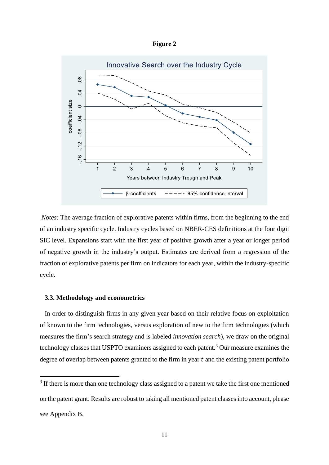**Figure 2**



*Notes:* The average fraction of explorative patents within firms, from the beginning to the end of an industry specific cycle. Industry cycles based on NBER-CES definitions at the four digit SIC level. Expansions start with the first year of positive growth after a year or longer period of negative growth in the industry's output. Estimates are derived from a regression of the fraction of explorative patents per firm on indicators for each year, within the industry-specific cycle.

#### **3.3. Methodology and econometrics**

 In order to distinguish firms in any given year based on their relative focus on exploitation of known to the firm technologies, versus exploration of new to the firm technologies (which measures the firm's search strategy and is labeled *innovation search*), we draw on the original technology classes that USPTO examiners assigned to each patent.<sup>3</sup> Our measure examines the degree of overlap between patents granted to the firm in year  $t$  and the existing patent portfolio

<sup>&</sup>lt;sup>3</sup> If there is more than one technology class assigned to a patent we take the first one mentioned on the patent grant. Results are robust to taking all mentioned patent classes into account, please see Appendix B.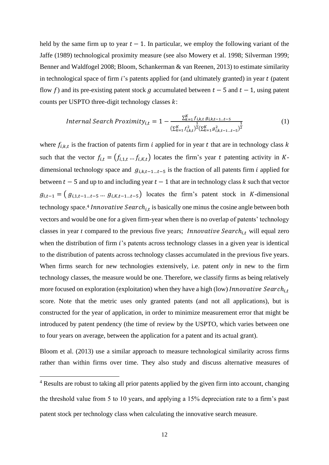held by the same firm up to year  $t - 1$ . In particular, we employ the following variant of the Jaffe (1989) technological proximity measure (see also Mowery et al. 1998; Silverman 1999; Benner and Waldfogel 2008; Bloom, Schankerman & van Reenen, 2013) to estimate similarity in technological space of firm  $i$ 's patents applied for (and ultimately granted) in year  $t$  (patent flow f) and its pre-existing patent stock g accumulated between  $t - 5$  and  $t - 1$ , using patent counts per USPTO three-digit technology classes  $k$ :

*Internal Search Proximity*<sub>i,t</sub> = 1 - 
$$
\frac{\sum_{k=1}^{K} f_{i,k,t} g_{i,k,t-1...t-5}}{\left(\sum_{k=1}^{K} f_{i,k,t}^{2}\right)^{\frac{1}{2}} \left(\sum_{k=1}^{K} g_{i,k,t-1...t-5}^{2}\right)^{\frac{1}{2}}}
$$
(1)

where  $f_{i,k,t}$  is the fraction of patents firm *i* applied for in year *t* that are in technology class k such that the vector  $f_{i,t} = (f_{i,1,t} \dots f_{i,K,t})$  locates the firm's year t patenting activity in Kdimensional technology space and  $g_{i,k,t-1...t-5}$  is the fraction of all patents firm *i* applied for between  $t - 5$  and up to and including year  $t - 1$  that are in technology class k such that vector  $g_{i,t-1} = (g_{i,1,t-1...t-5} \dots g_{i,K,t-1...t-5})$  locates the firm's patent stock in K-dimensional technology space.<sup>4</sup> *Innovative Search<sub>i,t</sub>* is basically one minus the cosine angle between both vectors and would be one for a given firm-year when there is no overlap of patents' technology classes in year  $t$  compared to the previous five years; *Innovative Search<sub>i,t</sub>* will equal zero when the distribution of firm  $i$ 's patents across technology classes in a given year is identical to the distribution of patents across technology classes accumulated in the previous five years. When firms search for new technologies extensively, i.e. patent *only* in new to the firm technology classes, the measure would be one. Therefore, we classify firms as being relatively more focused on exploration (exploitation) when they have a high (low) Innovative Search<sub>it</sub> score. Note that the metric uses only granted patents (and not all applications), but is constructed for the year of application, in order to minimize measurement error that might be introduced by patent pendency (the time of review by the USPTO, which varies between one to four years on average, between the application for a patent and its actual grant).

Bloom et al. (2013) use a similar approach to measure technological similarity across firms rather than within firms over time. They also study and discuss alternative measures of

<sup>4</sup> Results are robust to taking all prior patents applied by the given firm into account, changing the threshold value from 5 to 10 years, and applying a 15% depreciation rate to a firm's past patent stock per technology class when calculating the innovative search measure.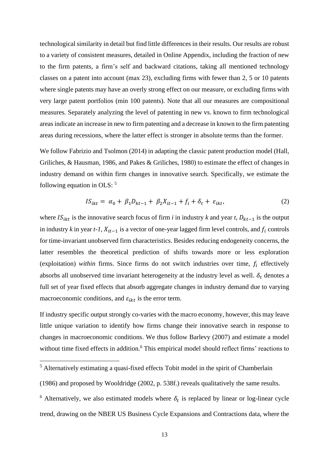technological similarity in detail but find little differences in their results. Our results are robust to a variety of consistent measures, detailed in Online Appendix, including the fraction of new to the firm patents, a firm's self and backward citations, taking all mentioned technology classes on a patent into account (max 23), excluding firms with fewer than 2, 5 or 10 patents where single patents may have an overly strong effect on our measure, or excluding firms with very large patent portfolios (min 100 patents). Note that all our measures are compositional measures. Separately analyzing the level of patenting in new vs. known to firm technological areas indicate an increase in new to firm patenting and a decrease in known to the firm patenting areas during recessions, where the latter effect is stronger in absolute terms than the former.

We follow Fabrizio and Tsolmon (2014) in adapting the classic patent production model (Hall, Griliches, & Hausman, 1986, and Pakes & Griliches, 1980) to estimate the effect of changes in industry demand on within firm changes in innovative search. Specifically, we estimate the following equation in OLS: <sup>5</sup>

$$
IS_{ikt} = \alpha_0 + \beta_1 D_{kt-1} + \beta_2 X_{it-1} + f_i + \delta_t + \varepsilon_{ikt}, \tag{2}
$$

where  $IS_{ikt}$  is the innovative search focus of firm *i* in industry *k* and year *t*,  $D_{kt-1}$  is the output in industry *k* in year *t-1,*  $X_{it-1}$  is a vector of one-year lagged firm level controls, and  $f_i$  controls for time-invariant unobserved firm characteristics. Besides reducing endogeneity concerns, the latter resembles the theoretical prediction of shifts towards more or less exploration (exploitation) *within* firms. Since firms do not switch industries over time,  $f_i$  effectively absorbs all unobserved time invariant heterogeneity at the industry level as well.  $\delta_t$  denotes a full set of year fixed effects that absorb aggregate changes in industry demand due to varying macroeconomic conditions, and  $\varepsilon_{ikt}$  is the error term.

If industry specific output strongly co-varies with the macro economy, however, this may leave little unique variation to identify how firms change their innovative search in response to changes in macroeconomic conditions. We thus follow Barlevy (2007) and estimate a model without time fixed effects in addition. <sup>6</sup> This empirical model should reflect firms' reactions to

<sup>5</sup> Alternatively estimating a quasi-fixed effects Tobit model in the spirit of Chamberlain

<sup>(1986)</sup> and proposed by Wooldridge (2002, p. 538f.) reveals qualitatively the same results.

<sup>&</sup>lt;sup>6</sup> Alternatively, we also estimated models where  $\delta_t$  is replaced by linear or log-linear cycle trend, drawing on the NBER US Business Cycle Expansions and Contractions data, where the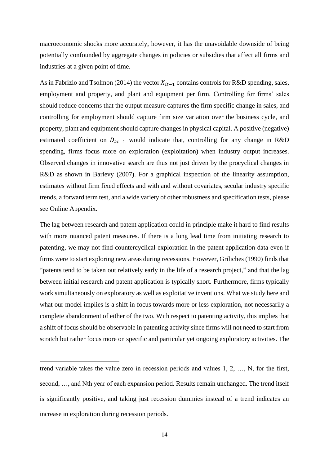macroeconomic shocks more accurately, however, it has the unavoidable downside of being potentially confounded by aggregate changes in policies or subsidies that affect all firms and industries at a given point of time.

As in Fabrizio and Tsolmon (2014) the vector  $X_{it-1}$  contains controls for R&D spending, sales, employment and property, and plant and equipment per firm. Controlling for firms' sales should reduce concerns that the output measure captures the firm specific change in sales, and controlling for employment should capture firm size variation over the business cycle, and property, plant and equipment should capture changes in physical capital. A positive (negative) estimated coefficient on  $D_{kt-1}$  would indicate that, controlling for any change in R&D spending, firms focus more on exploration (exploitation) when industry output increases. Observed changes in innovative search are thus not just driven by the procyclical changes in R&D as shown in Barlevy (2007). For a graphical inspection of the linearity assumption, estimates without firm fixed effects and with and without covariates, secular industry specific trends, a forward term test, and a wide variety of other robustness and specification tests, please see Online Appendix.

The lag between research and patent application could in principle make it hard to find results with more nuanced patent measures. If there is a long lead time from initiating research to patenting, we may not find countercyclical exploration in the patent application data even if firms were to start exploring new areas during recessions. However, Griliches (1990) finds that "patents tend to be taken out relatively early in the life of a research project," and that the lag between initial research and patent application is typically short. Furthermore, firms typically work simultaneously on exploratory as well as exploitative inventions. What we study here and what our model implies is a shift in focus towards more or less exploration, not necessarily a complete abandonment of either of the two. With respect to patenting activity, this implies that a shift of focus should be observable in patenting activity since firms will not need to start from scratch but rather focus more on specific and particular yet ongoing exploratory activities. The

trend variable takes the value zero in recession periods and values 1, 2, …, N, for the first, second, …, and Nth year of each expansion period. Results remain unchanged. The trend itself is significantly positive, and taking just recession dummies instead of a trend indicates an increase in exploration during recession periods.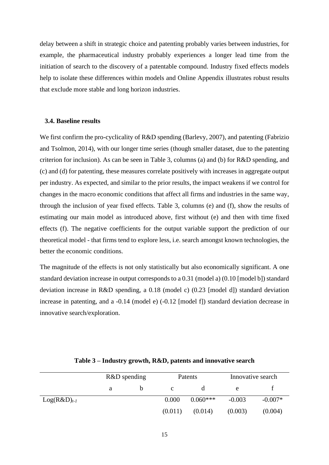delay between a shift in strategic choice and patenting probably varies between industries, for example, the pharmaceutical industry probably experiences a longer lead time from the initiation of search to the discovery of a patentable compound. Industry fixed effects models help to isolate these differences within models and Online Appendix illustrates robust results that exclude more stable and long horizon industries.

## **3.4. Baseline results**

We first confirm the pro-cyclicality of R&D spending (Barlevy, 2007), and patenting (Fabrizio and Tsolmon, 2014), with our longer time series (though smaller dataset, due to the patenting criterion for inclusion). As can be seen in Table 3, columns (a) and (b) for R&D spending, and (c) and (d) for patenting, these measures correlate positively with increases in aggregate output per industry. As expected, and similar to the prior results, the impact weakens if we control for changes in the macro economic conditions that affect all firms and industries in the same way, through the inclusion of year fixed effects. Table 3, columns (e) and (f), show the results of estimating our main model as introduced above, first without (e) and then with time fixed effects (f). The negative coefficients for the output variable support the prediction of our theoretical model - that firms tend to explore less, i.e. search amongst known technologies, the better the economic conditions.

The magnitude of the effects is not only statistically but also economically significant. A one standard deviation increase in output corresponds to a 0.31 (model a) (0.10 [model b]) standard deviation increase in R&D spending, a 0.18 (model c) (0.23 [model d]) standard deviation increase in patenting, and a -0.14 (model e) (-0.12 [model f]) standard deviation decrease in innovative search/exploration.

|                  | $R&D$ spending |         | Patents    | Innovative search |           |
|------------------|----------------|---------|------------|-------------------|-----------|
|                  |                |         |            | e                 |           |
| $Log(R&D)_{t-1}$ |                | 0.000   | $0.060***$ | $-0.003$          | $-0.007*$ |
|                  |                | (0.011) | (0.014)    | (0.003)           | (0.004)   |

**Table 3 – Industry growth, R&D, patents and innovative search**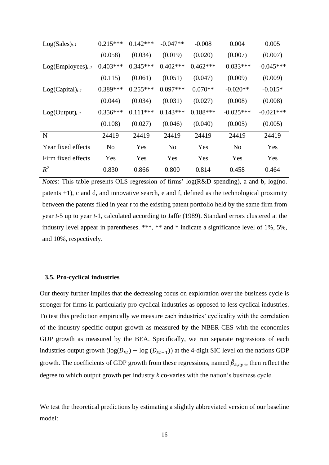| $Log(Sales)_{t-1}$    | $0.215***$     | $0.142***$ | $-0.047**$     | $-0.008$   | 0.004          | 0.005       |
|-----------------------|----------------|------------|----------------|------------|----------------|-------------|
|                       | (0.058)        | (0.034)    | (0.019)        | (0.020)    | (0.007)        | (0.007)     |
| $Log(Employes)_{t-1}$ | $0.403***$     | $0.345***$ | $0.402***$     | $0.462***$ | $-0.033***$    | $-0.045***$ |
|                       | (0.115)        | (0.061)    | (0.051)        | (0.047)    | (0.009)        | (0.009)     |
| $Log(Capital)_{t-1}$  | $0.389***$     | $0.255***$ | $0.097***$     | $0.070**$  | $-0.020**$     | $-0.015*$   |
|                       | (0.044)        | (0.034)    | (0.031)        | (0.027)    | (0.008)        | (0.008)     |
| $Log(Output)_{t-1}$   | $0.356***$     | $0.111***$ | $0.143***$     | $0.188***$ | $-0.025***$    | $-0.021***$ |
|                       | (0.108)        | (0.027)    | (0.046)        | (0.040)    | (0.005)        | (0.005)     |
| N                     | 24419          | 24419      | 24419          | 24419      | 24419          | 24419       |
| Year fixed effects    | N <sub>o</sub> | Yes        | N <sub>0</sub> | Yes        | N <sub>0</sub> | Yes         |
| Firm fixed effects    | Yes            | Yes        | Yes            | Yes        | Yes            | Yes         |
| $R^2$                 | 0.830          | 0.866      | 0.800          | 0.814      | 0.458          | 0.464       |

*Notes:* This table presents OLS regression of firms' log(R&D spending), a and b, log(no. patents +1), c and d, and innovative search, e and f, defined as the technological proximity between the patents filed in year *t* to the existing patent portfolio held by the same firm from year *t*-5 up to year *t*-1, calculated according to Jaffe (1989). Standard errors clustered at the industry level appear in parentheses. \*\*\*, \*\* and \* indicate a significance level of 1%, 5%, and 10%, respectively.

## **3.5. Pro-cyclical industries**

Our theory further implies that the decreasing focus on exploration over the business cycle is stronger for firms in particularly pro-cyclical industries as opposed to less cyclical industries. To test this prediction empirically we measure each industries' cyclicality with the correlation of the industry-specific output growth as measured by the NBER-CES with the economies GDP growth as measured by the BEA. Specifically, we run separate regressions of each industries output growth (log( $D_{kt}$ ) – log ( $D_{kt-1}$ )) at the 4-digit SIC level on the nations GDP growth. The coefficients of GDP growth from these regressions, named  $\hat{\beta}_{k,cyc}$ , then reflect the degree to which output growth per industry *k* co-varies with the nation's business cycle.

We test the theoretical predictions by estimating a slightly abbreviated version of our baseline model: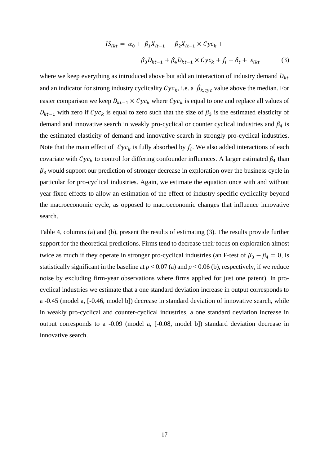$$
IS_{ikt} = \alpha_0 + \beta_1 X_{it-1} + \beta_2 X_{it-1} \times Cyc_k +
$$
  

$$
\beta_3 D_{kt-1} + \beta_4 D_{kt-1} \times Cyc_k + f_i + \delta_t + \varepsilon_{ikt}
$$
 (3)

where we keep everything as introduced above but add an interaction of industry demand  $D_{kt}$ and an indicator for strong industry cyclicality  $Cyc_k$ , i.e. a  $\hat{\beta}_{k,cyc}$  value above the median. For easier comparison we keep  $D_{kt-1} \times Cyc_k$  where  $Cyc_k$  is equal to one and replace all values of  $D_{kt-1}$  with zero if  $Cyc_k$  is equal to zero such that the size of  $\beta_3$  is the estimated elasticity of demand and innovative search in weakly pro-cyclical or counter cyclical industries and  $\beta_4$  is the estimated elasticity of demand and innovative search in strongly pro-cyclical industries. Note that the main effect of  $\mathcal{Cyc}_k$  is fully absorbed by  $f_i$ . We also added interactions of each covariate with  $Cyc_k$  to control for differing confounder influences. A larger estimated  $\beta_4$  than  $\beta_3$  would support our prediction of stronger decrease in exploration over the business cycle in particular for pro-cyclical industries. Again, we estimate the equation once with and without year fixed effects to allow an estimation of the effect of industry specific cyclicality beyond the macroeconomic cycle, as opposed to macroeconomic changes that influence innovative search.

Table 4, columns (a) and (b), present the results of estimating (3). The results provide further support for the theoretical predictions. Firms tend to decrease their focus on exploration almost twice as much if they operate in stronger pro-cyclical industries (an F-test of  $\beta_3 - \beta_4 = 0$ , is statistically significant in the baseline at  $p < 0.07$  (a) and  $p < 0.06$  (b), respectively, if we reduce noise by excluding firm-year observations where firms applied for just one patent). In procyclical industries we estimate that a one standard deviation increase in output corresponds to a -0.45 (model a, [-0.46, model b]) decrease in standard deviation of innovative search, while in weakly pro-cyclical and counter-cyclical industries, a one standard deviation increase in output corresponds to a -0.09 (model a, [-0.08, model b]) standard deviation decrease in innovative search.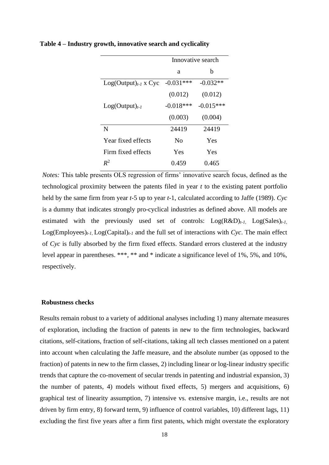|                           | Innovative search |             |  |
|---------------------------|-------------------|-------------|--|
|                           | a                 | h           |  |
| $Log(Output)_{t-1}$ x Cyc | $-0.031***$       | $-0.032**$  |  |
|                           | (0.012)           | (0.012)     |  |
| $Log(Output)_{t-1}$       | $-0.018***$       | $-0.015***$ |  |
|                           | (0.003)           | (0.004)     |  |
| N                         | 24419             | 24419       |  |
| Year fixed effects        | N <sub>0</sub>    | Yes         |  |
| Firm fixed effects        | Yes               | Yes         |  |
| $R^2$                     | 0.459             | 0.465       |  |

**Table 4 – Industry growth, innovative search and cyclicality**

*Notes:* This table presents OLS regression of firms' innovative search focus, defined as the technological proximity between the patents filed in year *t* to the existing patent portfolio held by the same firm from year *t*-5 up to year *t*-1, calculated according to Jaffe (1989). *Cyc* is a dummy that indicates strongly pro-cyclical industries as defined above. All models are estimated with the previously used set of controls:  $Log(R&D)_{t-1}$ ,  $Log(Sales)_{t-1}$  $Log(Employes)_{t-l}$ ,  $Log(Capital)_{t-l}$  and the full set of interactions with *Cyc*. The main effect of *Cyc* is fully absorbed by the firm fixed effects. Standard errors clustered at the industry level appear in parentheses. \*\*\*, \*\* and \* indicate a significance level of 1%, 5%, and 10%, respectively.

## **Robustness checks**

Results remain robust to a variety of additional analyses including 1) many alternate measures of exploration, including the fraction of patents in new to the firm technologies, backward citations, self-citations, fraction of self-citations, taking all tech classes mentioned on a patent into account when calculating the Jaffe measure, and the absolute number (as opposed to the fraction) of patents in new to the firm classes, 2) including linear or log-linear industry specific trends that capture the co-movement of secular trends in patenting and industrial expansion, 3) the number of patents, 4) models without fixed effects, 5) mergers and acquisitions, 6) graphical test of linearity assumption, 7) intensive vs. extensive margin, i.e., results are not driven by firm entry, 8) forward term, 9) influence of control variables, 10) different lags, 11) excluding the first five years after a firm first patents, which might overstate the exploratory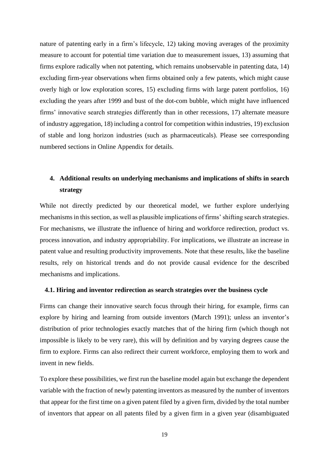nature of patenting early in a firm's lifecycle, 12) taking moving averages of the proximity measure to account for potential time variation due to measurement issues, 13) assuming that firms explore radically when not patenting, which remains unobservable in patenting data, 14) excluding firm-year observations when firms obtained only a few patents, which might cause overly high or low exploration scores, 15) excluding firms with large patent portfolios, 16) excluding the years after 1999 and bust of the dot-com bubble, which might have influenced firms' innovative search strategies differently than in other recessions, 17) alternate measure of industry aggregation, 18) including a control for competition within industries, 19) exclusion of stable and long horizon industries (such as pharmaceuticals). Please see corresponding numbered sections in Online Appendix for details.

# **4. Additional results on underlying mechanisms and implications of shifts in search strategy**

While not directly predicted by our theoretical model, we further explore underlying mechanisms in this section, as well as plausible implications of firms' shifting search strategies. For mechanisms, we illustrate the influence of hiring and workforce redirection, product vs. process innovation, and industry appropriability. For implications, we illustrate an increase in patent value and resulting productivity improvements. Note that these results, like the baseline results, rely on historical trends and do not provide causal evidence for the described mechanisms and implications.

#### **4.1. Hiring and inventor redirection as search strategies over the business cycle**

Firms can change their innovative search focus through their hiring, for example, firms can explore by hiring and learning from outside inventors (March 1991); unless an inventor's distribution of prior technologies exactly matches that of the hiring firm (which though not impossible is likely to be very rare), this will by definition and by varying degrees cause the firm to explore. Firms can also redirect their current workforce, employing them to work and invent in new fields.

To explore these possibilities, we first run the baseline model again but exchange the dependent variable with the fraction of newly patenting inventors as measured by the number of inventors that appear for the first time on a given patent filed by a given firm, divided by the total number of inventors that appear on all patents filed by a given firm in a given year (disambiguated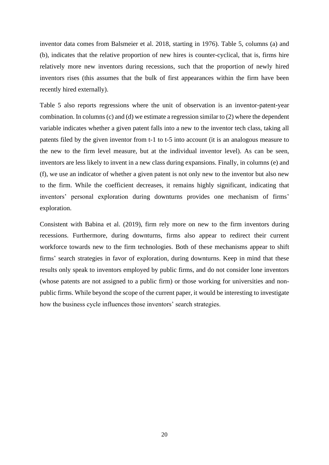inventor data comes from Balsmeier et al. 2018, starting in 1976). Table 5, columns (a) and (b), indicates that the relative proportion of new hires is counter-cyclical, that is, firms hire relatively more new inventors during recessions, such that the proportion of newly hired inventors rises (this assumes that the bulk of first appearances within the firm have been recently hired externally).

Table 5 also reports regressions where the unit of observation is an inventor-patent-year combination. In columns (c) and (d) we estimate a regression similar to (2) where the dependent variable indicates whether a given patent falls into a new to the inventor tech class, taking all patents filed by the given inventor from t-1 to t-5 into account (it is an analogous measure to the new to the firm level measure, but at the individual inventor level). As can be seen, inventors are less likely to invent in a new class during expansions. Finally, in columns (e) and (f), we use an indicator of whether a given patent is not only new to the inventor but also new to the firm. While the coefficient decreases, it remains highly significant, indicating that inventors' personal exploration during downturns provides one mechanism of firms' exploration.

Consistent with Babina et al. (2019), firm rely more on new to the firm inventors during recessions. Furthermore, during downturns, firms also appear to redirect their current workforce towards new to the firm technologies. Both of these mechanisms appear to shift firms' search strategies in favor of exploration, during downturns. Keep in mind that these results only speak to inventors employed by public firms, and do not consider lone inventors (whose patents are not assigned to a public firm) or those working for universities and nonpublic firms. While beyond the scope of the current paper, it would be interesting to investigate how the business cycle influences those inventors' search strategies.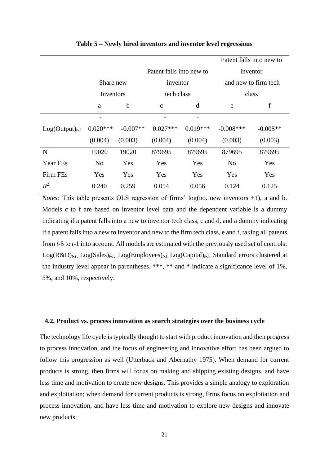|                     |                          |             |              |            |                      | Patent falls into new to |  |
|---------------------|--------------------------|-------------|--------------|------------|----------------------|--------------------------|--|
|                     | Patent falls into new to |             |              |            |                      | inventor                 |  |
|                     | Share new                |             | inventor     |            | and new to firm tech |                          |  |
|                     |                          | Inventors   |              | tech class |                      | class                    |  |
|                     | a                        | $\mathbf b$ | $\mathbf{C}$ | d          | e                    | f                        |  |
|                     |                          |             |              |            |                      |                          |  |
| $Log(Output)_{t-1}$ | $0.020***$               | $-0.007**$  | $0.027***$   | $0.019***$ | $-0.008$ ***         | $-0.005**$               |  |
|                     | (0.004)                  | (0.003)     | (0.004)      | (0.004)    | (0.003)              | (0.003)                  |  |
| N                   | 19020                    | 19020       | 879695       | 879695     | 879695               | 879695                   |  |
| Year FEs            | N <sub>o</sub>           | Yes         | Yes          | Yes        | N <sub>o</sub>       | Yes                      |  |
| Firm FEs            | Yes                      | Yes         | Yes          | Yes        | Yes                  | Yes                      |  |
| $R^2$               | 0.240                    | 0.259       | 0.054        | 0.056      | 0.124                | 0.125                    |  |

**Table 5 – Newly hired inventors and inventor level regressions** 

*Notes:* This table presents OLS regression of firms' log(no. new inventors +1), a and b. Models c to f are based on inventor level data and the dependent variable is a dummy indicating if a patent falls into a new to inventor tech class, c and d, and a dummy indicating if a patent falls into a new to inventor and new to the firm tech class, e and f, taking all patents from *t*-5 to *t*-1 into account. All models are estimated with the previously used set of controls: Log(R&D)*t-1,* Log(Sales)*t-1,* Log(Employees)*t-1,* Log(Capital)*t-1*. Standard errors clustered at the industry level appear in parentheses. \*\*\*, \*\* and \* indicate a significance level of 1%, 5%, and 10%, respectively.

#### **4.2. Product vs. process innovation as search strategies over the business cycle**

The technology life cycle is typically thought to start with product innovation and then progress to process innovation, and the focus of engineering and innovative effort has been argued to follow this progression as well (Utterback and Abernathy 1975). When demand for current products is strong, then firms will focus on making and shipping existing designs, and have less time and motivation to create new designs. This provides a simple analogy to exploration and exploitation; when demand for current products is strong, firms focus on exploitation and process innovation, and have less time and motivation to explore new designs and innovate new products.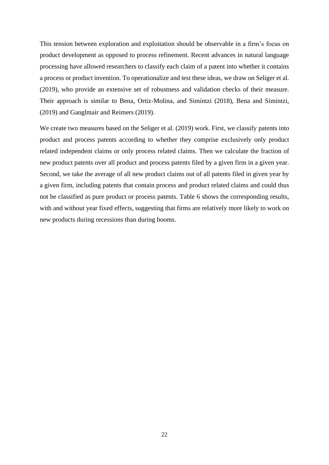This tension between exploration and exploitation should be observable in a firm's focus on product development as opposed to process refinement. Recent advances in natural language processing have allowed researchers to classify each claim of a patent into whether it contains a process or product invention. To operationalize and test these ideas, we draw on Seliger et al. (2019), who provide an extensive set of robustness and validation checks of their measure. Their approach is similar to Bena, Ortiz-Molina, and Simintzi (2018), Bena and Simintzi, (2019) and Ganglmair and Reimers (2019).

We create two measures based on the Seliger et al. (2019) work. First, we classify patents into product and process patents according to whether they comprise exclusively only product related independent claims or only process related claims. Then we calculate the fraction of new product patents over all product and process patents filed by a given firm in a given year. Second, we take the average of all new product claims out of all patents filed in given year by a given firm, including patents that contain process and product related claims and could thus not be classified as pure product or process patents. Table 6 shows the corresponding results, with and without year fixed effects, suggesting that firms are relatively more likely to work on new products during recessions than during booms.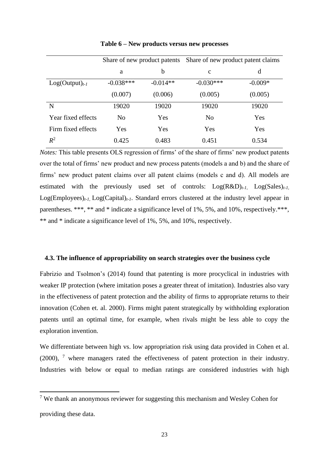|                     | Share of new product patents |             | Share of new product patent claims |           |  |
|---------------------|------------------------------|-------------|------------------------------------|-----------|--|
|                     | a                            | $\mathbf b$ | $\mathbf c$                        | d         |  |
| $Log(Output)_{t-1}$ | $-0.038***$                  | $-0.014**$  | $-0.030***$                        | $-0.009*$ |  |
|                     | (0.007)                      | (0.006)     | (0.005)                            | (0.005)   |  |
| N                   | 19020                        | 19020       | 19020                              | 19020     |  |
| Year fixed effects  | N <sub>0</sub>               | Yes         | N <sub>0</sub>                     | Yes       |  |
| Firm fixed effects  | Yes                          | Yes         | Yes                                | Yes       |  |
| $R^2$               | 0.425                        | 0.483       | 0.451                              | 0.534     |  |

**Table 6 – New products versus new processes** 

*Notes:* This table presents OLS regression of firms' of the share of firms' new product patents over the total of firms' new product and new process patents (models a and b) and the share of firms' new product patent claims over all patent claims (models c and d). All models are estimated with the previously used set of controls: Log(R&D)*t-1,* Log(Sales)*t-1,*  Log(Employees)*t-1,* Log(Capital)*t-1*. Standard errors clustered at the industry level appear in parentheses. \*\*\*, \*\* and \* indicate a significance level of 1%, 5%, and 10%, respectively.\*\*\*, \*\* and \* indicate a significance level of 1%, 5%, and 10%, respectively.

## **4.3. The influence of appropriability on search strategies over the business cycle**

Fabrizio and Tsolmon's (2014) found that patenting is more procyclical in industries with weaker IP protection (where imitation poses a greater threat of imitation). Industries also vary in the effectiveness of patent protection and the ability of firms to appropriate returns to their innovation (Cohen et. al. 2000). Firms might patent strategically by withholding exploration patents until an optimal time, for example, when rivals might be less able to copy the exploration invention.

We differentiate between high vs. low appropriation risk using data provided in Cohen et al.  $(2000)$ ,  $\frac{7}{1}$  where managers rated the effectiveness of patent protection in their industry. Industries with below or equal to median ratings are considered industries with high

<sup>7</sup> We thank an anonymous reviewer for suggesting this mechanism and Wesley Cohen for providing these data.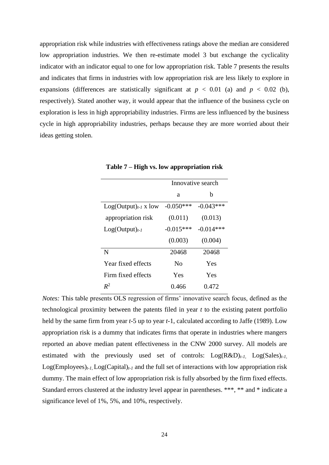appropriation risk while industries with effectiveness ratings above the median are considered low appropriation industries. We then re-estimate model 3 but exchange the cyclicality indicator with an indicator equal to one for low appropriation risk. Table 7 presents the results and indicates that firms in industries with low appropriation risk are less likely to explore in expansions (differences are statistically significant at  $p < 0.01$  (a) and  $p < 0.02$  (b), respectively). Stated another way, it would appear that the influence of the business cycle on exploration is less in high appropriability industries. Firms are less influenced by the business cycle in high appropriability industries, perhaps because they are more worried about their ideas getting stolen.

|                           | Innovative search |             |  |  |
|---------------------------|-------------------|-------------|--|--|
|                           | a                 | b           |  |  |
| $Log(Output)_{t-1}$ x low | $-0.050***$       | $-0.043***$ |  |  |
| appropriation risk        | (0.011)           | (0.013)     |  |  |
| $Log(Output)_{t-1}$       | $-0.015***$       | $-0.014***$ |  |  |
|                           | (0.003)           | (0.004)     |  |  |
| N                         | 20468             | 20468       |  |  |
| Year fixed effects        | $\rm No$          | Yes         |  |  |
| Firm fixed effects        | Yes               | Yes         |  |  |
| $R^2$                     | 0.466             | 0.472       |  |  |

**Table 7 – High vs. low appropriation risk**

*Notes:* This table presents OLS regression of firms' innovative search focus, defined as the technological proximity between the patents filed in year *t* to the existing patent portfolio held by the same firm from year *t*-5 up to year *t*-1, calculated according to Jaffe (1989). Low appropriation risk is a dummy that indicates firms that operate in industries where mangers reported an above median patent effectiveness in the CNW 2000 survey. All models are estimated with the previously used set of controls:  $Log(R&D)_{t-1}$ ,  $Log(Sales)_{t-1}$ Log(Employees)*t-1,* Log(Capital)*t-1* and the full set of interactions with low appropriation risk dummy. The main effect of low appropriation risk is fully absorbed by the firm fixed effects. Standard errors clustered at the industry level appear in parentheses. \*\*\*, \*\* and \* indicate a significance level of 1%, 5%, and 10%, respectively.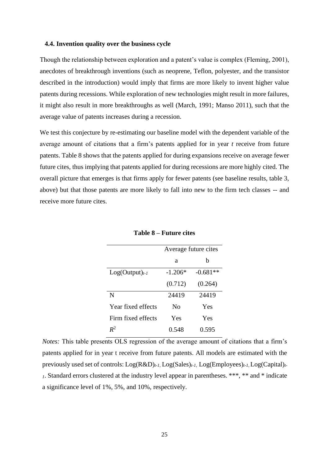#### **4.4. Invention quality over the business cycle**

Though the relationship between exploration and a patent's value is complex (Fleming, 2001), anecdotes of breakthrough inventions (such as neoprene, Teflon, polyester, and the transistor described in the introduction) would imply that firms are more likely to invent higher value patents during recessions. While exploration of new technologies might result in more failures, it might also result in more breakthroughs as well (March, 1991; Manso 2011), such that the average value of patents increases during a recession.

We test this conjecture by re-estimating our baseline model with the dependent variable of the average amount of citations that a firm's patents applied for in year *t* receive from future patents. Table 8 shows that the patents applied for during expansions receive on average fewer future cites, thus implying that patents applied for during recessions are more highly cited. The overall picture that emerges is that firms apply for fewer patents (see baseline results, table 3, above) but that those patents are more likely to fall into new to the firm tech classes -- and receive more future cites.

|                     | Average future cites |            |  |
|---------------------|----------------------|------------|--|
|                     | а                    | h          |  |
| $Log(Output)_{t-1}$ | $-1.206*$            | $-0.681**$ |  |
|                     | (0.712)              | (0.264)    |  |
| N                   | 24419                | 24419      |  |
| Year fixed effects  | $\rm No$             | Yes        |  |
| Firm fixed effects  | Yes                  | Yes        |  |
| $\mathbf{R}^2$      | 0.548                | 0.595      |  |

**Table 8 – Future cites**

*Notes:* This table presents OLS regression of the average amount of citations that a firm's patents applied for in year t receive from future patents. All models are estimated with the previously used set of controls: Log(R&D)*t-1,* Log(Sales)*t-1,* Log(Employees)*t-1,* Log(Capital)*t-<sup>1</sup>*. Standard errors clustered at the industry level appear in parentheses. \*\*\*, \*\* and \* indicate a significance level of 1%, 5%, and 10%, respectively.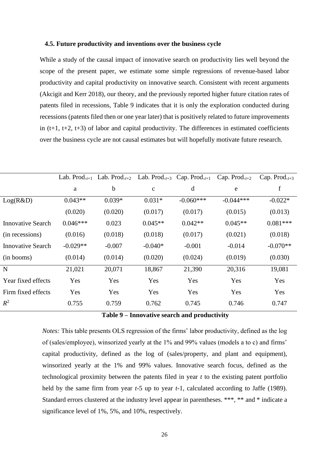## **4.5. Future productivity and inventions over the business cycle**

While a study of the causal impact of innovative search on productivity lies well beyond the scope of the present paper, we estimate some simple regressions of revenue-based labor productivity and capital productivity on innovative search. Consistent with recent arguments (Akcigit and Kerr 2018), our theory, and the previously reported higher future citation rates of patents filed in recessions, Table 9 indicates that it is only the exploration conducted during recessions (patents filed then or one year later) that is positively related to future improvements in  $(t+1, t+2, t+3)$  of labor and capital productivity. The differences in estimated coefficients over the business cycle are not causal estimates but will hopefully motivate future research.

|                          | Lab. Prod. $_{t+1}$ | Lab. Prod. $_{t+2}$ |              | Lab. Prod. $_{t+3}$ Cap. Prod. $_{t+1}$ | Cap. Prod. $_{t+2}$ | Cap. Prod. $_{t+3}$ |
|--------------------------|---------------------|---------------------|--------------|-----------------------------------------|---------------------|---------------------|
|                          | a                   | $\mathbf b$         | $\mathbf{C}$ | d                                       | e                   | f                   |
| Log(R&D)                 | $0.043**$           | $0.039*$            | $0.031*$     | $-0.060***$                             | $-0.044***$         | $-0.022*$           |
|                          | (0.020)             | (0.020)             | (0.017)      | (0.017)                                 | (0.015)             | (0.013)             |
| <b>Innovative Search</b> | $0.046***$          | 0.023               | $0.045**$    | $0.042**$                               | $0.045**$           | $0.081***$          |
| (in recessions)          | (0.016)             | (0.018)             | (0.018)      | (0.017)                                 | (0.021)             | (0.018)             |
| <b>Innovative Search</b> | $-0.029**$          | $-0.007$            | $-0.040*$    | $-0.001$                                | $-0.014$            | $-0.070**$          |
| (in booms)               | (0.014)             | (0.014)             | (0.020)      | (0.024)                                 | (0.019)             | (0.030)             |
| $\mathbf N$              | 21,021              | 20,071              | 18,867       | 21,390                                  | 20,316              | 19,081              |
| Year fixed effects       | Yes                 | Yes                 | Yes          | Yes                                     | Yes                 | Yes                 |
| Firm fixed effects       | Yes                 | Yes                 | Yes          | Yes                                     | Yes                 | Yes                 |
| $R^2$                    | 0.755               | 0.759               | 0.762        | 0.745                                   | 0.746               | 0.747               |
|                          |                     |                     |              |                                         |                     |                     |

**Table 9 – Innovative search and productivity**

*Notes:* This table presents OLS regression of the firms' labor productivity, defined as the log of (sales/employee), winsorized yearly at the 1% and 99% values (models a to c) and firms' capital productivity, defined as the log of (sales/property, and plant and equipment), winsorized yearly at the 1% and 99% values. Innovative search focus, defined as the technological proximity between the patents filed in year *t* to the existing patent portfolio held by the same firm from year *t*-5 up to year *t*-1, calculated according to Jaffe (1989). Standard errors clustered at the industry level appear in parentheses. \*\*\*, \*\* and \* indicate a significance level of 1%, 5%, and 10%, respectively.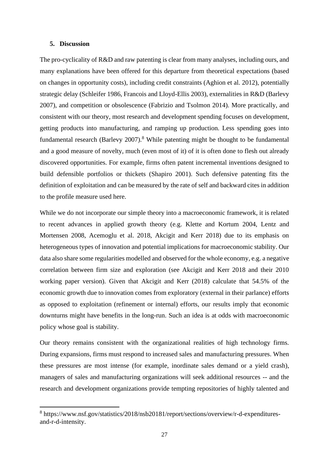## **5. Discussion**

The pro-cyclicality of R&D and raw patenting is clear from many analyses, including ours, and many explanations have been offered for this departure from theoretical expectations (based on changes in opportunity costs), including credit constraints (Aghion et al. 2012), potentially strategic delay (Schleifer 1986, Francois and Lloyd-Ellis 2003), externalities in R&D (Barlevy 2007), and competition or obsolescence (Fabrizio and Tsolmon 2014). More practically, and consistent with our theory, most research and development spending focuses on development, getting products into manufacturing, and ramping up production. Less spending goes into fundamental research (Barlevy 2007).<sup>8</sup> While patenting might be thought to be fundamental and a good measure of novelty, much (even most of it) of it is often done to flesh out already discovered opportunities. For example, firms often patent incremental inventions designed to build defensible portfolios or thickets (Shapiro 2001). Such defensive patenting fits the definition of exploitation and can be measured by the rate of self and backward cites in addition to the profile measure used here.

While we do not incorporate our simple theory into a macroeconomic framework, it is related to recent advances in applied growth theory (e.g. Klette and Kortum 2004, Lentz and Mortensen 2008, Acemoglu et al. 2018, Akcigit and Kerr 2018) due to its emphasis on heterogeneous types of innovation and potential implications for macroeconomic stability. Our data also share some regularities modelled and observed for the whole economy, e.g. a negative correlation between firm size and exploration (see Akcigit and Kerr 2018 and their 2010 working paper version). Given that Akcigit and Kerr (2018) calculate that 54.5% of the economic growth due to innovation comes from exploratory (external in their parlance) efforts as opposed to exploitation (refinement or internal) efforts, our results imply that economic downturns might have benefits in the long-run. Such an idea is at odds with macroeconomic policy whose goal is stability.

Our theory remains consistent with the organizational realities of high technology firms. During expansions, firms must respond to increased sales and manufacturing pressures. When these pressures are most intense (for example, inordinate sales demand or a yield crash), managers of sales and manufacturing organizations will seek additional resources -- and the research and development organizations provide tempting repositories of highly talented and

<sup>8</sup> https://www.nsf.gov/statistics/2018/nsb20181/report/sections/overview/r-d-expendituresand-r-d-intensity.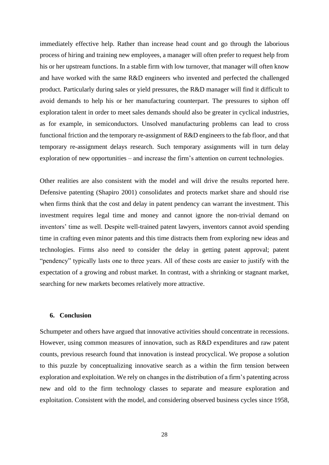immediately effective help. Rather than increase head count and go through the laborious process of hiring and training new employees, a manager will often prefer to request help from his or her upstream functions. In a stable firm with low turnover, that manager will often know and have worked with the same R&D engineers who invented and perfected the challenged product. Particularly during sales or yield pressures, the R&D manager will find it difficult to avoid demands to help his or her manufacturing counterpart. The pressures to siphon off exploration talent in order to meet sales demands should also be greater in cyclical industries, as for example, in semiconductors. Unsolved manufacturing problems can lead to cross functional friction and the temporary re-assignment of R&D engineers to the fab floor, and that temporary re-assignment delays research. Such temporary assignments will in turn delay exploration of new opportunities – and increase the firm's attention on current technologies.

Other realities are also consistent with the model and will drive the results reported here. Defensive patenting (Shapiro 2001) consolidates and protects market share and should rise when firms think that the cost and delay in patent pendency can warrant the investment. This investment requires legal time and money and cannot ignore the non-trivial demand on inventors' time as well. Despite well-trained patent lawyers, inventors cannot avoid spending time in crafting even minor patents and this time distracts them from exploring new ideas and technologies. Firms also need to consider the delay in getting patent approval; patent "pendency" typically lasts one to three years. All of these costs are easier to justify with the expectation of a growing and robust market. In contrast, with a shrinking or stagnant market, searching for new markets becomes relatively more attractive.

## **6. Conclusion**

Schumpeter and others have argued that innovative activities should concentrate in recessions. However, using common measures of innovation, such as R&D expenditures and raw patent counts, previous research found that innovation is instead procyclical. We propose a solution to this puzzle by conceptualizing innovative search as a within the firm tension between exploration and exploitation. We rely on changes in the distribution of a firm's patenting across new and old to the firm technology classes to separate and measure exploration and exploitation. Consistent with the model, and considering observed business cycles since 1958,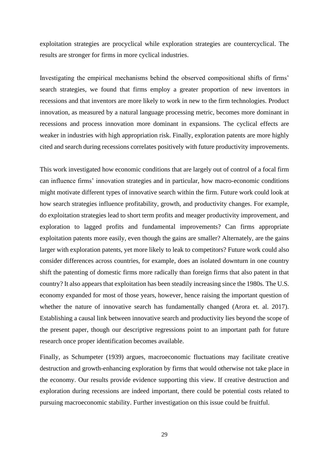exploitation strategies are procyclical while exploration strategies are countercyclical. The results are stronger for firms in more cyclical industries.

Investigating the empirical mechanisms behind the observed compositional shifts of firms' search strategies, we found that firms employ a greater proportion of new inventors in recessions and that inventors are more likely to work in new to the firm technologies. Product innovation, as measured by a natural language processing metric, becomes more dominant in recessions and process innovation more dominant in expansions. The cyclical effects are weaker in industries with high appropriation risk. Finally, exploration patents are more highly cited and search during recessions correlates positively with future productivity improvements.

This work investigated how economic conditions that are largely out of control of a focal firm can influence firms' innovation strategies and in particular, how macro-economic conditions might motivate different types of innovative search within the firm. Future work could look at how search strategies influence profitability, growth, and productivity changes. For example, do exploitation strategies lead to short term profits and meager productivity improvement, and exploration to lagged profits and fundamental improvements? Can firms appropriate exploitation patents more easily, even though the gains are smaller? Alternately, are the gains larger with exploration patents, yet more likely to leak to competitors? Future work could also consider differences across countries, for example, does an isolated downturn in one country shift the patenting of domestic firms more radically than foreign firms that also patent in that country? It also appears that exploitation has been steadily increasing since the 1980s. The U.S. economy expanded for most of those years, however, hence raising the important question of whether the nature of innovative search has fundamentally changed (Arora et. al. 2017). Establishing a causal link between innovative search and productivity lies beyond the scope of the present paper, though our descriptive regressions point to an important path for future research once proper identification becomes available.

Finally, as Schumpeter (1939) argues, macroeconomic fluctuations may facilitate creative destruction and growth-enhancing exploration by firms that would otherwise not take place in the economy. Our results provide evidence supporting this view. If creative destruction and exploration during recessions are indeed important, there could be potential costs related to pursuing macroeconomic stability. Further investigation on this issue could be fruitful.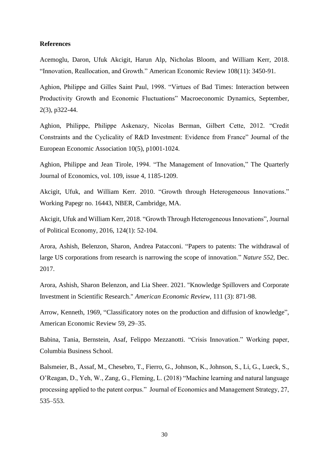## **References**

Acemoglu, Daron, Ufuk Akcigit, Harun Alp, Nicholas Bloom, and William Kerr, 2018. "Innovation, Reallocation, and Growth." American Economic Review 108(11): 3450-91.

Aghion, Philippe and Gilles Saint Paul, 1998. "Virtues of Bad Times: Interaction between Productivity Growth and Economic Fluctuations" Macroeconomic Dynamics, September, 2(3), p322-44.

Aghion, Philippe, Philippe Askenazy, Nicolas Berman, Gilbert Cette, 2012. "Credit Constraints and the Cyclicality of R&D Investment: Evidence from France" Journal of the European Economic Association 10(5), p1001-1024.

Aghion, Philippe and Jean Tirole, 1994. "The Management of Innovation," The Quarterly Journal of Economics, vol. 109, issue 4, 1185-1209.

Akcigit, Ufuk, and William Kerr. 2010. "Growth through Heterogeneous Innovations." Working Papegr no. 16443, NBER, Cambridge, MA.

Akcigit, Ufuk and William Kerr, 2018. "Growth Through Heterogeneous Innovations", Journal of Political Economy, 2016, 124(1): 52-104.

Arora, Ashish, Belenzon, Sharon, Andrea Patacconi. "Papers to patents: The withdrawal of large US corporations from research is narrowing the scope of innovation." *Nature 552,* Dec. 2017.

Arora, Ashish, Sharon Belenzon, and Lia Sheer. 2021. "Knowledge Spillovers and Corporate Investment in Scientific Research." *American Economic Review*, 111 (3): 871-98.

Arrow, Kenneth, 1969, "Classificatory notes on the production and diffusion of knowledge", American Economic Review 59, 29–35.

Babina, Tania, Bernstein, Asaf, Felippo Mezzanotti. "Crisis Innovation." Working paper, Columbia Business School.

Balsmeier, B., Assaf, M., Chesebro, T., Fierro, G., Johnson, K., Johnson, S., Li, G., Lueck, S., O'Reagan, D., Yeh, W., Zang, G., Fleming, L. (2018) "Machine learning and natural language processing applied to the patent corpus." Journal of Economics and Management Strategy, 27, 535–553.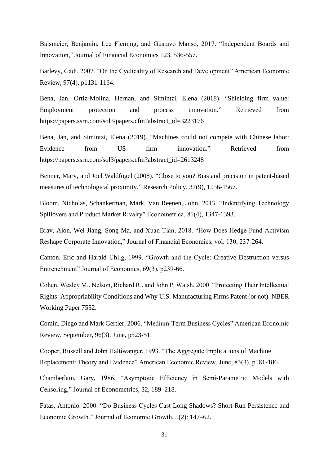Balsmeier, Benjamin, Lee Fleming, and Gustavo Manso, 2017. "Independent Boards and Innovation," Journal of Financial Economics 123, 536-557.

Barlevy, Gadi, 2007. "On the Cyclicality of Research and Development" American Economic Review, 97(4), p1131-1164.

Bena, Jan, Ortiz-Molina, Hernan, and Simintzi, Elena (2018). "Shielding firm value: Employment protection and process innovation." Retrieved from https://papers.ssrn.com/sol3/papers.cfm?abstract\_id=3223176

Bena, Jan, and Simintzi, Elena (2019). "Machines could not compete with Chinese labor: Evidence from US firm innovation." Retrieved from https://papers.ssrn.com/sol3/papers.cfm?abstract\_id=2613248

Benner, Mary, and Joel Waldfogel (2008). "Close to you? Bias and precision in patent-based measures of technological proximity." Research Policy, 37(9), 1556-1567.

Bloom, Nicholas, Schankerman, Mark, Van Reenen, John, 2013. "Indentifying Technology Spillovers and Product Market Rivalry" Econometrica, 81(4), 1347-1393.

Brav, Alon, Wei Jiang, Song Ma, and Xuan Tian, 2018. "How Does Hedge Fund Activism Reshape Corporate Innovation," Journal of Financial Economics, vol. 130, 237-264.

Canton, Eric and Harald Uhlig, 1999. "Growth and the Cycle: Creative Destruction versus Entrenchment" Journal of Economics, 69(3), p239-66.

Cohen, Wesley M., Nelson, Richard R., and John P. Walsh, 2000. "Protecting Their Intellectual Rights: Appropriability Conditions and Why U.S. Manufacturing Firms Patent (or not). NBER Working Paper 7552.

Comin, Diego and Mark Gertler, 2006. "Medium-Term Business Cycles" American Economic Review, September, 96(3), June, p523-51.

Cooper, Russell and John Haltiwanger, 1993. "The Aggregate Implications of Machine Replacement: Theory and Evidence" American Economic Review, June, 83(3), p181-186.

Chamberlain, Gary, 1986, "Asymptotic Efficiency in Semi-Parametric Models with Censoring," Journal of Econometrics, 32, 189–218.

Fatas, Antonio. 2000. "Do Business Cycles Cast Long Shadows? Short-Run Persistence and Economic Growth." Journal of Economic Growth, 5(2): 147–62.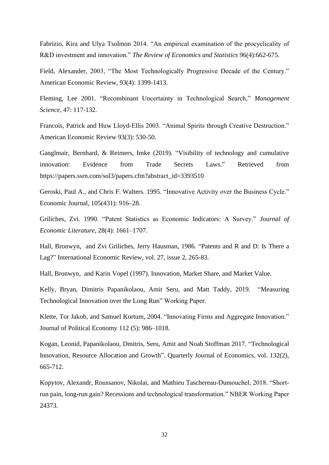Fabrizio, Kira and Ulya Tsolmon 2014. "An empirical examination of the procyclicality of R&D investment and innovation." *The Review of Economics and Statistics* 96(4):662-675.

Field, Alexander, 2003, "The Most Technologically Progressive Decade of the Century." American Economic Review, 93(4): 1399-1413.

Fleming, Lee 2001. "Recombinant Uncertainty in Technological Search," *Management Science,* 47: 117-132.

Francois, Patrick and Huw Lloyd-Ellis 2003. "Animal Spirits through Creative Destruction." American Economic Review 93(3): 530-50.

Ganglmair, Bernhard, & Reimers, Imke (2019). "Visibility of technology and cumulative innovation: Evidence from Trade Secrets Laws." Retrieved from https://papers.ssrn.com/sol3/papers.cfm?abstract\_id=3393510

Geroski, Paul A., and Chris F. Walters. 1995. "Innovative Activity over the Business Cycle." Economic Journal, 105(431): 916–28.

Griliches, Zvi. 1990. "Patent Statistics as Economic Indicators: A Survey." *Journal of Economic Literature*, 28(4): 1661–1707.

Hall, Bronwyn, and Zvi Griliches, Jerry Hausman, 1986. "Patents and R and D: Is There a Lag?" International Economic Review, vol. 27, issue 2, 265-83.

Hall, Bronwyn, and Karin Vopel (1997). Innovation, Market Share, and Market Value.

Kelly, Bryan, Dimitris Papanikolaou, Amit Seru, and Matt Taddy, 2019. "Measuring Technological Innovation over the Long Run" Working Paper.

Klette, Tor Jakob, and Samuel Kortum, 2004. "Innovating Firms and Aggregate Innovation." Journal of Political Economy 112 (5): 986–1018.

Kogan, Leonid, Papanikolaou, Dmitris, Seru, Amit and Noah Stoffman 2017. "Technological Innovation, Resource Allocation and Growth". Quarterly Journal of Economics, vol. 132(2), 665-712.

Kopytov, Alexandr, Roussanov, Nikolai, and Mathieu Taschereau-Dumouchel, 2018. "Shortrun pain, long-run gain? Recessions and technological transformation." NBER Working Paper 24373.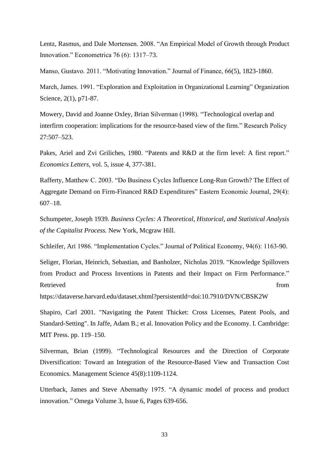Lentz, Rasmus, and Dale Mortensen. 2008. "An Empirical Model of Growth through Product Innovation." Econometrica 76 (6): 1317–73.

Manso, Gustavo. 2011. "Motivating Innovation." Journal of Finance, 66(5), 1823-1860.

March, James. 1991. "Exploration and Exploitation in Organizational Learning" Organization Science, 2(1), p71-87.

Mowery, David and Joanne Oxley, Brian Silverman (1998). "Technological overlap and interfirm cooperation: implications for the resource-based view of the firm." Research Policy 27:507–523.

Pakes, Ariel and Zvi Griliches, 1980. "Patents and R&D at the firm level: A first report." *Economics Letters*, vol. 5, issue 4, 377-381.

Rafferty, Matthew C. 2003. "Do Business Cycles Influence Long-Run Growth? The Effect of Aggregate Demand on Firm-Financed R&D Expenditures" Eastern Economic Journal, 29(4): 607–18.

Schumpeter, Joseph 1939. *Business Cycles: A Theoretical, Historical, and Statistical Analysis of the Capitalist Process.* New York, Mcgraw Hill.

Schleifer, Ari 1986. "Implementation Cycles." Journal of Political Economy, 94(6): 1163-90.

Seliger, Florian, Heinrich, Sebastian, and Banholzer, Nicholas 2019. "Knowledge Spillovers from Product and Process Inventions in Patents and their Impact on Firm Performance." Retrieved from the state of the state of the state of the state of the state of the state of the state of the state of the state of the state of the state of the state of the state of the state of the state of the state of

https://dataverse.harvard.edu/dataset.xhtml?persistentId=doi:10.7910/DVN/CBSK2W

Shapiro, Carl 2001. "Navigating the Patent Thicket: Cross Licenses, Patent Pools, and Standard-Setting". In Jaffe, Adam B.; et al. Innovation Policy and the Economy. I. Cambridge: MIT Press. pp. 119–150.

Silverman, Brian (1999). "Technological Resources and the Direction of Corporate Diversification: Toward an Integration of the Resource-Based View and Transaction Cost Economics. Management Science 45(8):1109-1124.

Utterback, James and Steve Abernathy 1975. "A dynamic model of process and product innovation." Omega Volume 3, Issue 6, Pages 639-656.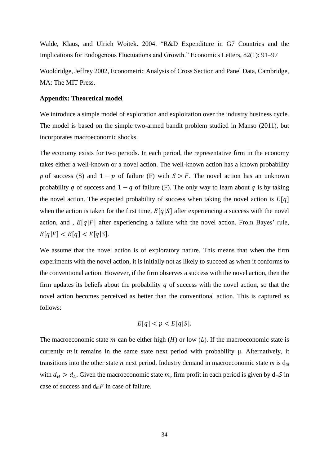Walde, Klaus, and Ulrich Woitek. 2004. "R&D Expenditure in G7 Countries and the Implications for Endogenous Fluctuations and Growth." Economics Letters, 82(1): 91–97

Wooldridge, Jeffrey 2002, Econometric Analysis of Cross Section and Panel Data, Cambridge, MA: The MIT Press.

## **Appendix: Theoretical model**

We introduce a simple model of exploration and exploitation over the industry business cycle. The model is based on the simple two-armed bandit problem studied in Manso (2011), but incorporates macroeconomic shocks.

The economy exists for two periods. In each period, the representative firm in the economy takes either a well-known or a novel action. The well-known action has a known probability p of success (S) and  $1 - p$  of failure (F) with  $S > F$ . The novel action has an unknown probability q of success and  $1 - q$  of failure (F). The only way to learn about q is by taking the novel action. The expected probability of success when taking the novel action is  $E[q]$ when the action is taken for the first time,  $E[q|S]$  after experiencing a success with the novel action, and,  $E[q|F]$  after experiencing a failure with the novel action. From Bayes' rule,  $E[q|F] < E[q] < E[q|S].$ 

We assume that the novel action is of exploratory nature. This means that when the firm experiments with the novel action, it is initially not as likely to succeed as when it conforms to the conventional action. However, if the firm observes a success with the novel action, then the firm updates its beliefs about the probability  $q$  of success with the novel action, so that the novel action becomes perceived as better than the conventional action. This is captured as follows:

$$
E[q] < p < E[q|S].
$$

The macroeconomic state  $m$  can be either high ( $H$ ) or low ( $L$ ). If the macroeconomic state is currently  $m$  it remains in the same state next period with probability  $\mu$ . Alternatively, it transitions into the other state  $n$  next period. Industry demand in macroeconomic state  $m$  is  $d_m$ with  $d_H > d_L$ . Given the macroeconomic state m, firm profit in each period is given by  $d_m S$  in case of success and  $d_m F$  in case of failure.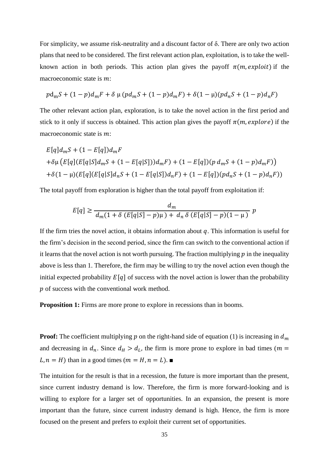For simplicity, we assume risk-neutrality and a discount factor of δ. There are only two action plans that need to be considered. The first relevant action plan, exploitation, is to take the wellknown action in both periods. This action plan gives the payoff  $\pi(m, exploit)$  if the macroeconomic state is  $m$ :

$$
p\mathrm{d}_{\mathrm{m}}S + (1-p)\mathrm{d}_{\mathrm{m}}F + \delta \mu (p\mathrm{d}_{\mathrm{m}}S + (1-p)\mathrm{d}_{\mathrm{m}}F) + \delta (1-\mu)(p\mathrm{d}_{\mathrm{n}}S + (1-p)\mathrm{d}_{\mathrm{n}}F)
$$

The other relevant action plan, exploration, is to take the novel action in the first period and stick to it only if success is obtained. This action plan gives the payoff  $\pi(m, explore)$  if the macroeconomic state is  $m$ :

$$
E[q]d_mS + (1 - E[q])d_mF
$$
  
+ $\delta\mu$  (E[q][E[q|S]d\_mS + (1 - E[q|S]))d\_mF) + (1 - E[q])(p d\_mS + (1 - p)d\_mF))  
+ $\delta(1 - \mu)$ (E[q][E[q|S]d\_nS + (1 - E[q|S])d\_nF) + (1 - E[q])(pd\_nS + (1 - p)d\_nF))

The total payoff from exploration is higher than the total payoff from exploitation if:

$$
E[q] \ge \frac{d_m}{d_m(1 + \delta (E[q|S] - p)\mu) + d_n \delta (E[q|S] - p)(1 - \mu)} p
$$

If the firm tries the novel action, it obtains information about  $q$ . This information is useful for the firm's decision in the second period, since the firm can switch to the conventional action if it learns that the novel action is not worth pursuing. The fraction multiplying  $p$  in the inequality above is less than 1. Therefore, the firm may be willing to try the novel action even though the initial expected probability  $E[q]$  of success with the novel action is lower than the probability  $p$  of success with the conventional work method.

**Proposition 1:** Firms are more prone to explore in recessions than in booms.

**Proof:** The coefficient multiplying  $p$  on the right-hand side of equation (1) is increasing in  $d_m$ and decreasing in  $d_n$ . Since  $d_H > d_L$ , the firm is more prone to explore in bad times ( $m =$  $L, n = H$ ) than in a good times  $(m = H, n = L)$ .

The intuition for the result is that in a recession, the future is more important than the present, since current industry demand is low. Therefore, the firm is more forward-looking and is willing to explore for a larger set of opportunities. In an expansion, the present is more important than the future, since current industry demand is high. Hence, the firm is more focused on the present and prefers to exploit their current set of opportunities.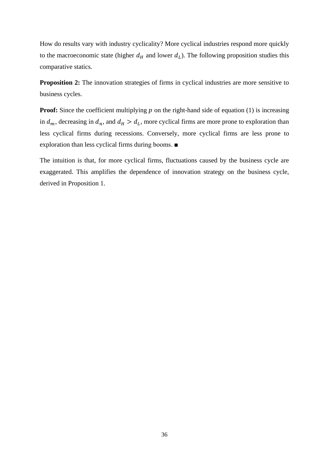How do results vary with industry cyclicality? More cyclical industries respond more quickly to the macroeconomic state (higher  $d_H$  and lower  $d_L$ ). The following proposition studies this comparative statics.

**Proposition 2:** The innovation strategies of firms in cyclical industries are more sensitive to business cycles.

**Proof:** Since the coefficient multiplying  $p$  on the right-hand side of equation (1) is increasing in  $d_m$ , decreasing in  $d_n$ , and  $d_H > d_L$ , more cyclical firms are more prone to exploration than less cyclical firms during recessions. Conversely, more cyclical firms are less prone to exploration than less cyclical firms during booms. ■

The intuition is that, for more cyclical firms, fluctuations caused by the business cycle are exaggerated. This amplifies the dependence of innovation strategy on the business cycle, derived in Proposition 1.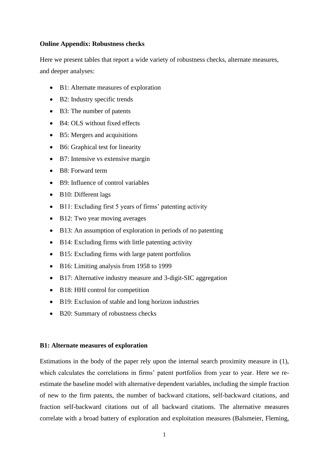## **Online Appendix: Robustness checks**

Here we present tables that report a wide variety of robustness checks, alternate measures, and deeper analyses:

- B1: Alternate measures of exploration
- B2: Industry specific trends
- B3: The number of patents
- B4: OLS without fixed effects
- B5: Mergers and acquisitions
- B6: Graphical test for linearity
- B7: Intensive vs extensive margin
- B8: Forward term
- B9: Influence of control variables
- B10: Different lags
- B11: Excluding first 5 years of firms' patenting activity
- B12: Two year moving averages
- B13: An assumption of exploration in periods of no patenting
- B14: Excluding firms with little patenting activity
- B15: Excluding firms with large patent portfolios
- B16: Limiting analysis from 1958 to 1999
- B17: Alternative industry measure and 3-digit-SIC aggregation
- B18: HHI control for competition
- B19: Exclusion of stable and long horizon industries
- B20: Summary of robustness checks

## **B1: Alternate measures of exploration**

Estimations in the body of the paper rely upon the internal search proximity measure in (1), which calculates the correlations in firms' patent portfolios from year to year. Here we reestimate the baseline model with alternative dependent variables, including the simple fraction of new to the firm patents, the number of backward citations, self-backward citations, and fraction self-backward citations out of all backward citations. The alternative measures correlate with a broad battery of exploration and exploitation measures (Balsmeier, Fleming,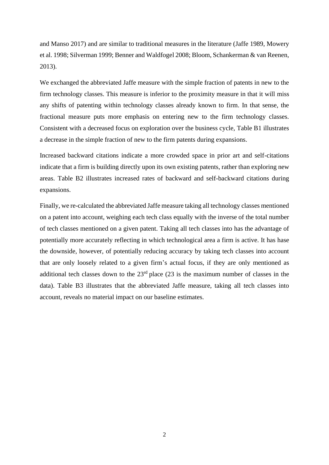and Manso 2017) and are similar to traditional measures in the literature (Jaffe 1989, Mowery et al. 1998; Silverman 1999; Benner and Waldfogel 2008; Bloom, Schankerman & van Reenen, 2013).

We exchanged the abbreviated Jaffe measure with the simple fraction of patents in new to the firm technology classes. This measure is inferior to the proximity measure in that it will miss any shifts of patenting within technology classes already known to firm. In that sense, the fractional measure puts more emphasis on entering new to the firm technology classes. Consistent with a decreased focus on exploration over the business cycle, Table B1 illustrates a decrease in the simple fraction of new to the firm patents during expansions.

Increased backward citations indicate a more crowded space in prior art and self-citations indicate that a firm is building directly upon its own existing patents, rather than exploring new areas. Table B2 illustrates increased rates of backward and self-backward citations during expansions.

Finally, we re-calculated the abbreviated Jaffe measure taking all technology classes mentioned on a patent into account, weighing each tech class equally with the inverse of the total number of tech classes mentioned on a given patent. Taking all tech classes into has the advantage of potentially more accurately reflecting in which technological area a firm is active. It has hase the downside, however, of potentially reducing accuracy by taking tech classes into account that are only loosely related to a given firm's actual focus, if they are only mentioned as additional tech classes down to the  $23<sup>rd</sup>$  place (23 is the maximum number of classes in the data). Table B3 illustrates that the abbreviated Jaffe measure, taking all tech classes into account, reveals no material impact on our baseline estimates.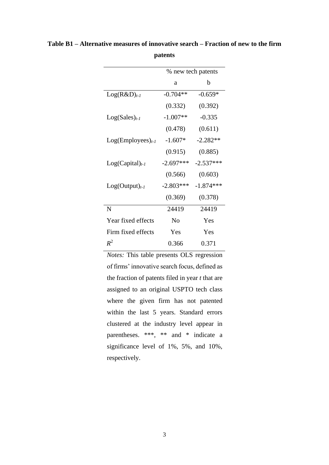|                       | % new tech patents |             |  |
|-----------------------|--------------------|-------------|--|
|                       | a                  | h           |  |
| $Log(R&D)_{t-1}$      | $-0.704**$         | $-0.659*$   |  |
|                       | (0.332)            | (0.392)     |  |
| $Log(Sales)_{t-1}$    | $-1.007**$         | $-0.335$    |  |
|                       | (0.478)            | (0.611)     |  |
| $Log(Employes)_{t-1}$ | $-1.607*$          | $-2.282**$  |  |
|                       | (0.915)            | (0.885)     |  |
| $Log(Capital)_{t-1}$  | $-2.697***$        | $-2.537***$ |  |
|                       | (0.566)            | (0.603)     |  |
| $Log(Output)_{t-1}$   | $-2.803***$        | $-1.874***$ |  |
|                       | (0.369)            | (0.378)     |  |
| N                     | 24419              | 24419       |  |
| Year fixed effects    | N <sub>0</sub>     | Yes         |  |
| Firm fixed effects    | Yes                | Yes         |  |
| $R^2$                 | 0.366              | 0.371       |  |

**Table B1 – Alternative measures of innovative search – Fraction of new to the firm patents**

*Notes:* This table presents OLS regression of firms' innovative search focus, defined as the fraction of patents filed in year *t* that are assigned to an original USPTO tech class where the given firm has not patented within the last 5 years. Standard errors clustered at the industry level appear in parentheses. \*\*\*, \*\* and \* indicate a significance level of 1%, 5%, and 10%, respectively.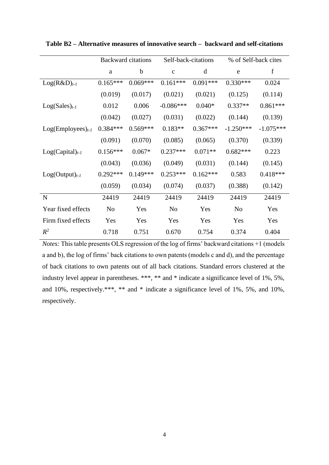|                       | <b>Backward citations</b> |             | Self-back-citations |            | % of Self-back cites |             |
|-----------------------|---------------------------|-------------|---------------------|------------|----------------------|-------------|
|                       | a                         | $\mathbf b$ | $\mathbf{C}$        | d          | e                    | $\mathbf f$ |
| $Log(R&D)_{t-1}$      | $0.165***$                | $0.069***$  | $0.161***$          | $0.091***$ | $0.330***$           | 0.024       |
|                       | (0.019)                   | (0.017)     | (0.021)             | (0.021)    | (0.125)              | (0.114)     |
| $Log(Sales)_{t-1}$    | 0.012                     | 0.006       | $-0.086***$         | $0.040*$   | $0.337**$            | $0.861***$  |
|                       | (0.042)                   | (0.027)     | (0.031)             | (0.022)    | (0.144)              | (0.139)     |
| $Log(Employes)_{t-1}$ | $0.384***$                | $0.569***$  | $0.183**$           | $0.367***$ | $-1.250***$          | $-1.075***$ |
|                       | (0.091)                   | (0.070)     | (0.085)             | (0.065)    | (0.370)              | (0.339)     |
| $Log(Capital)_{t-1}$  | $0.156***$                | $0.067*$    | $0.237***$          | $0.071**$  | $0.682***$           | 0.223       |
|                       | (0.043)                   | (0.036)     | (0.049)             | (0.031)    | (0.144)              | (0.145)     |
| $Log(Output)_{t-1}$   | $0.292***$                | $0.149***$  | $0.253***$          | $0.162***$ | 0.583                | $0.418***$  |
|                       | (0.059)                   | (0.034)     | (0.074)             | (0.037)    | (0.388)              | (0.142)     |
| $\mathbf N$           | 24419                     | 24419       | 24419               | 24419      | 24419                | 24419       |
| Year fixed effects    | N <sub>0</sub>            | Yes         | N <sub>o</sub>      | Yes        | N <sub>o</sub>       | Yes         |
| Firm fixed effects    | Yes                       | Yes         | Yes                 | Yes        | Yes                  | Yes         |
| $R^2$                 | 0.718                     | 0.751       | 0.670               | 0.754      | 0.374                | 0.404       |

**Table B2 – Alternative measures of innovative search – backward and self-citations**

*Notes:* This table presents OLS regression of the log of firms' backward citations +1 (models a and b), the log of firms' back citations to own patents (models c and d), and the percentage of back citations to own patents out of all back citations. Standard errors clustered at the industry level appear in parentheses. \*\*\*, \*\* and \* indicate a significance level of 1%, 5%, and 10%, respectively.\*\*\*, \*\* and \* indicate a significance level of 1%, 5%, and 10%, respectively.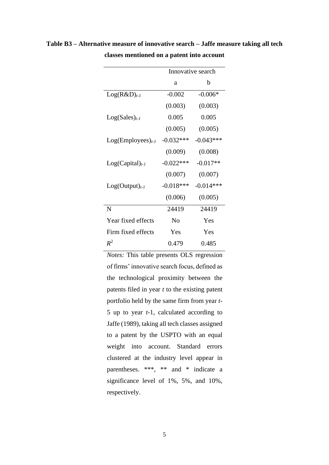|                       | Innovative search |             |  |
|-----------------------|-------------------|-------------|--|
|                       | a                 | b           |  |
| $Log(R&D)_{t-1}$      | $-0.002$          | $-0.006*$   |  |
|                       | (0.003)           | (0.003)     |  |
| $Log(Sales)_{t-1}$    | 0.005             | 0.005       |  |
|                       | (0.005)           | (0.005)     |  |
| $Log(Employes)_{t-1}$ | $-0.032***$       | $-0.043***$ |  |
|                       | (0.009)           | (0.008)     |  |
| $Log(Capital)_{t-1}$  | $-0.022***$       | $-0.017**$  |  |
|                       | (0.007)           | (0.007)     |  |
| $Log(Output)_{t-1}$   | $-0.018***$       | $-0.014***$ |  |
|                       | (0.006)           | (0.005)     |  |
| N                     | 24419             | 24419       |  |
| Year fixed effects    | No                | Yes         |  |
| Firm fixed effects    | Yes               | Yes         |  |
| $R^2$                 | 0.479             | 0.485       |  |

**Table B3 – Alternative measure of innovative search – Jaffe measure taking all tech classes mentioned on a patent into account**

*Notes:* This table presents OLS regression of firms' innovative search focus, defined as the technological proximity between the patents filed in year *t* to the existing patent portfolio held by the same firm from year *t*-5 up to year *t*-1, calculated according to Jaffe (1989), taking all tech classes assigned to a patent by the USPTO with an equal weight into account. Standard errors clustered at the industry level appear in parentheses. \*\*\*, \*\* and \* indicate a significance level of 1%, 5%, and 10%, respectively.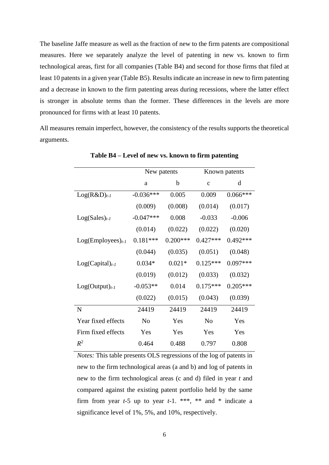The baseline Jaffe measure as well as the fraction of new to the firm patents are compositional measures. Here we separately analyze the level of patenting in new vs. known to firm technological areas, first for all companies (Table B4) and second for those firms that filed at least 10 patents in a given year (Table B5). Results indicate an increase in new to firm patenting and a decrease in known to the firm patenting areas during recessions, where the latter effect is stronger in absolute terms than the former. These differences in the levels are more pronounced for firms with at least 10 patents.

All measures remain imperfect, however, the consistency of the results supports the theoretical arguments.

|                       | New patents |            | Known patents  |            |
|-----------------------|-------------|------------|----------------|------------|
|                       | a           | b          | $\mathbf c$    | d          |
| $Log(R&D)_{t-1}$      | $-0.036***$ | 0.005      | 0.009          | $0.066***$ |
|                       | (0.009)     | (0.008)    | (0.014)        | (0.017)    |
| $Log(Sales)_{t-1}$    | $-0.047***$ | 0.008      | $-0.033$       | $-0.006$   |
|                       | (0.014)     | (0.022)    | (0.022)        | (0.020)    |
| $Log(Employes)_{t-1}$ | $0.181***$  | $0.200***$ | $0.427***$     | $0.492***$ |
|                       | (0.044)     | (0.035)    | (0.051)        | (0.048)    |
| $Log(Capital)_{t-1}$  | $0.034*$    | $0.021*$   | $0.125***$     | $0.097***$ |
|                       | (0.019)     | (0.012)    | (0.033)        | (0.032)    |
| $Log(Output)_{t-1}$   | $-0.053**$  | 0.014      | $0.175***$     | $0.205***$ |
|                       | (0.022)     | (0.015)    | (0.043)        | (0.039)    |
| N                     | 24419       | 24419      | 24419          | 24419      |
| Year fixed effects    | No          | Yes        | N <sub>o</sub> | Yes        |
| Firm fixed effects    | Yes         | Yes        | Yes            | Yes        |
| $R^2$                 | 0.464       | 0.488      | 0.797          | 0.808      |

**Table B4 – Level of new vs. known to firm patenting**

*Notes:* This table presents OLS regressions of the log of patents in new to the firm technological areas (a and b) and log of patents in new to the firm technological areas (c and d) filed in year *t* and compared against the existing patent portfolio held by the same firm from year *t*-5 up to year *t*-1. \*\*\*, \*\* and \* indicate a significance level of 1%, 5%, and 10%, respectively.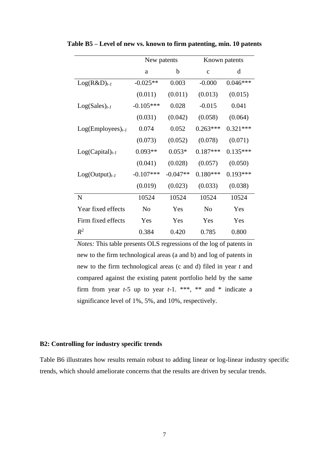|                       | New patents |            |                | Known patents |
|-----------------------|-------------|------------|----------------|---------------|
|                       | a           | b          | $\mathbf{C}$   | d             |
| $Log(R&D)_{t-1}$      | $-0.025**$  | 0.003      | $-0.000$       | $0.046***$    |
|                       | (0.011)     | (0.011)    | (0.013)        | (0.015)       |
| $Log(Sales)_{t-1}$    | $-0.105***$ | 0.028      | $-0.015$       | 0.041         |
|                       | (0.031)     | (0.042)    | (0.058)        | (0.064)       |
| $Log(Employes)_{t-1}$ | 0.074       | 0.052      | $0.263***$     | $0.321***$    |
|                       | (0.073)     | (0.052)    | (0.078)        | (0.071)       |
| $Log(Capital)_{t-1}$  | $0.093**$   | $0.053*$   | $0.187***$     | $0.135***$    |
|                       | (0.041)     | (0.028)    | (0.057)        | (0.050)       |
| $Log(Output)_{t-1}$   | $-0.107***$ | $-0.047**$ | $0.180***$     | $0.193***$    |
|                       | (0.019)     | (0.023)    | (0.033)        | (0.038)       |
| N                     | 10524       | 10524      | 10524          | 10524         |
| Year fixed effects    | No          | Yes        | N <sub>0</sub> | Yes           |
| Firm fixed effects    | Yes         | Yes        | Yes            | Yes           |
| $R^2$                 | 0.384       | 0.420      | 0.785          | 0.800         |

**Table B5 – Level of new vs. known to firm patenting, min. 10 patents**

*Notes:* This table presents OLS regressions of the log of patents in new to the firm technological areas (a and b) and log of patents in new to the firm technological areas (c and d) filed in year *t* and compared against the existing patent portfolio held by the same firm from year  $t-5$  up to year  $t-1$ . \*\*\*, \*\* and \* indicate a significance level of 1%, 5%, and 10%, respectively.

## **B2: Controlling for industry specific trends**

Table B6 illustrates how results remain robust to adding linear or log-linear industry specific trends, which should ameliorate concerns that the results are driven by secular trends.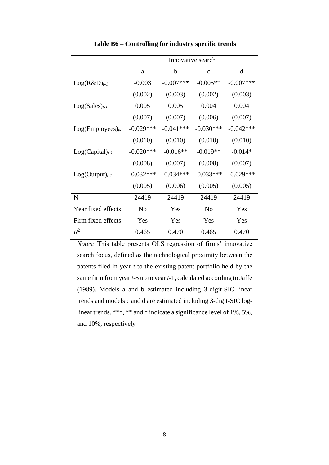|                       | Innovative search |             |              |              |
|-----------------------|-------------------|-------------|--------------|--------------|
|                       | a                 | b           | $\mathbf{C}$ | d            |
| $Log(R&D)_{t-1}$      | $-0.003$          | $-0.007***$ | $-0.005**$   | $-0.007$ *** |
|                       | (0.002)           | (0.003)     | (0.002)      | (0.003)      |
| $Log(Sales)_{t-1}$    | 0.005             | 0.005       | 0.004        | 0.004        |
|                       | (0.007)           | (0.007)     | (0.006)      | (0.007)      |
| $Log(Employes)_{t-1}$ | $-0.029***$       | $-0.041***$ | $-0.030***$  | $-0.042***$  |
|                       | (0.010)           | (0.010)     | (0.010)      | (0.010)      |
| $Log(Capital)_{t-1}$  | $-0.020***$       | $-0.016**$  | $-0.019**$   | $-0.014*$    |
|                       | (0.008)           | (0.007)     | (0.008)      | (0.007)      |
| $Log(Output)_{t-1}$   | $-0.032***$       | $-0.034***$ | $-0.033***$  | $-0.029***$  |
|                       | (0.005)           | (0.006)     | (0.005)      | (0.005)      |
| N                     | 24419             | 24419       | 24419        | 24419        |
| Year fixed effects    | N <sub>0</sub>    | Yes         | No           | Yes          |
| Firm fixed effects    | Yes               | Yes         | Yes          | Yes          |
| $R^2$                 | 0.465             | 0.470       | 0.465        | 0.470        |

**Table B6 – Controlling for industry specific trends**

*Notes:* This table presents OLS regression of firms' innovative search focus, defined as the technological proximity between the patents filed in year *t* to the existing patent portfolio held by the same firm from year *t*-5 up to year *t*-1, calculated according to Jaffe (1989). Models a and b estimated including 3-digit-SIC linear trends and models c and d are estimated including 3-digit-SIC loglinear trends. \*\*\*, \*\* and \* indicate a significance level of 1%, 5%, and 10%, respectively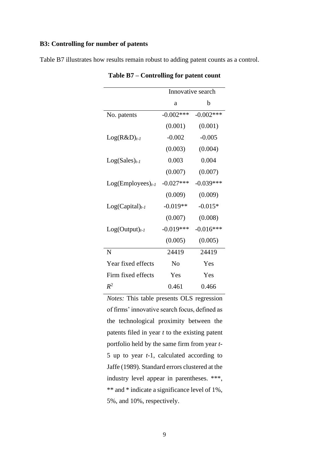## **B3: Controlling for number of patents**

Table B7 illustrates how results remain robust to adding patent counts as a control.

|                       | Innovative search |              |  |
|-----------------------|-------------------|--------------|--|
|                       | a                 | b            |  |
| No. patents           | $-0.002***$       | $-0.002$ *** |  |
|                       | (0.001)           | (0.001)      |  |
| $Log(R&D)_{t-1}$      | $-0.002$          | $-0.005$     |  |
|                       | (0.003)           | (0.004)      |  |
| $Log(Sales)_{t-1}$    | 0.003             | 0.004        |  |
|                       | (0.007)           | (0.007)      |  |
| $Log(Employes)_{t-1}$ | $-0.027***$       | $-0.039***$  |  |
|                       | (0.009)           | (0.009)      |  |
| $Log(Capital)_{t-1}$  | $-0.019**$        | $-0.015*$    |  |
|                       | (0.007)           | (0.008)      |  |
| $Log(Output)_{t-1}$   | $-0.019***$       | $-0.016***$  |  |
|                       | (0.005)           | (0.005)      |  |
| N                     | 24419             | 24419        |  |
| Year fixed effects    | N <sub>0</sub>    | Yes          |  |
| Firm fixed effects    | Yes               | Yes          |  |
| $R^2$                 | 0.461             | 0.466        |  |

**Table B7 – Controlling for patent count**

*Notes:* This table presents OLS regression of firms' innovative search focus, defined as the technological proximity between the patents filed in year *t* to the existing patent portfolio held by the same firm from year *t*-5 up to year *t*-1, calculated according to Jaffe (1989). Standard errors clustered at the industry level appear in parentheses. \*\*\*, \*\* and \* indicate a significance level of 1%, 5%, and 10%, respectively.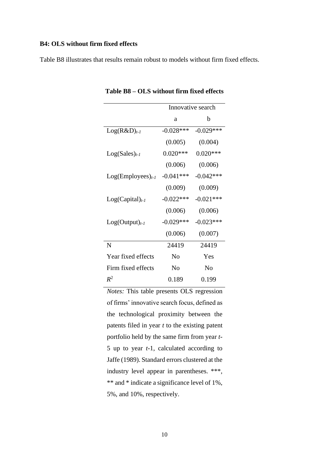## **B4: OLS without firm fixed effects**

Table B8 illustrates that results remain robust to models without firm fixed effects.

|                       |                | Innovative search |
|-----------------------|----------------|-------------------|
|                       | a              | b                 |
| $Log(R&D)_{t-1}$      | $-0.028***$    | $-0.029***$       |
|                       | (0.005)        | (0.004)           |
| $Log(Sales)_{t-1}$    | $0.020***$     | $0.020***$        |
|                       | (0.006)        | (0.006)           |
| $Log(Employes)_{t-1}$ | $-0.041***$    | $-0.042***$       |
|                       | (0.009)        | (0.009)           |
| $Log(Capital)_{t-1}$  | $-0.022***$    | $-0.021***$       |
|                       | (0.006)        | (0.006)           |
| $Log(Output)_{t-1}$   | $-0.029***$    | $-0.023***$       |
|                       | (0.006)        | (0.007)           |
| N                     | 24419          | 24419             |
| Year fixed effects    | N <sub>0</sub> | Yes               |
| Firm fixed effects    | No             | No                |
| $R^2$                 | 0.189          | 0.199             |

**Table B8 – OLS without firm fixed effects** 

*Notes:* This table presents OLS regression of firms' innovative search focus, defined as the technological proximity between the patents filed in year *t* to the existing patent portfolio held by the same firm from year *t*-5 up to year *t*-1, calculated according to Jaffe (1989). Standard errors clustered at the industry level appear in parentheses. \*\*\*, \*\* and \* indicate a significance level of 1%, 5%, and 10%, respectively.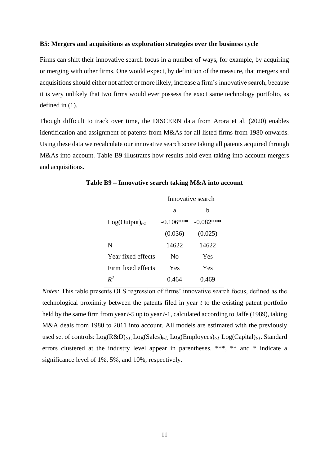## **B5: Mergers and acquisitions as exploration strategies over the business cycle**

Firms can shift their innovative search focus in a number of ways, for example, by acquiring or merging with other firms. One would expect, by definition of the measure, that mergers and acquisitions should either not affect or more likely, increase a firm's innovative search, because it is very unlikely that two firms would ever possess the exact same technology portfolio, as defined in (1).

Though difficult to track over time, the DISCERN data from Arora et al. (2020) enables identification and assignment of patents from M&As for all listed firms from 1980 onwards. Using these data we recalculate our innovative search score taking all patents acquired through M&As into account. Table B9 illustrates how results hold even taking into account mergers and acquisitions.

|                     | Innovative search |             |  |
|---------------------|-------------------|-------------|--|
|                     | a                 | h           |  |
| $Log(Output)_{t-1}$ | $-0.106***$       | $-0.082***$ |  |
|                     | (0.036)           | (0.025)     |  |
| N                   | 14622             | 14622       |  |
| Year fixed effects  | Nο                | Yes         |  |
| Firm fixed effects  | Yes               | Yes         |  |
| $R^2$               | 0.464             | 0.469       |  |

**Table B9 – Innovative search taking M&A into account**

*Notes:* This table presents OLS regression of firms' innovative search focus, defined as the technological proximity between the patents filed in year *t* to the existing patent portfolio held by the same firm from year *t*-5 up to year *t*-1, calculated according to Jaffe (1989), taking M&A deals from 1980 to 2011 into account. All models are estimated with the previously used set of controls: Log(R&D)*t-1,* Log(Sales)*t-1,* Log(Employees)*t-1,* Log(Capital)*t-1*. Standard errors clustered at the industry level appear in parentheses. \*\*\*, \*\* and \* indicate a significance level of 1%, 5%, and 10%, respectively.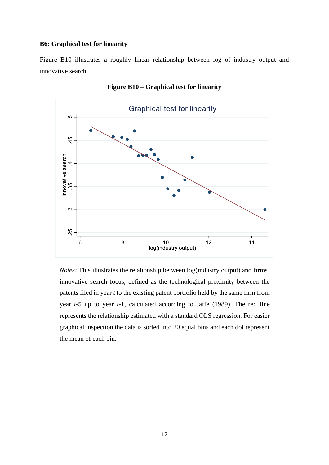## **B6: Graphical test for linearity**

Figure B10 illustrates a roughly linear relationship between log of industry output and innovative search.



**Figure B10 – Graphical test for linearity**

*Notes:* This illustrates the relationship between log(industry output) and firms' innovative search focus, defined as the technological proximity between the patents filed in year *t* to the existing patent portfolio held by the same firm from year *t*-5 up to year *t*-1, calculated according to Jaffe (1989). The red line represents the relationship estimated with a standard OLS regression. For easier graphical inspection the data is sorted into 20 equal bins and each dot represent the mean of each bin.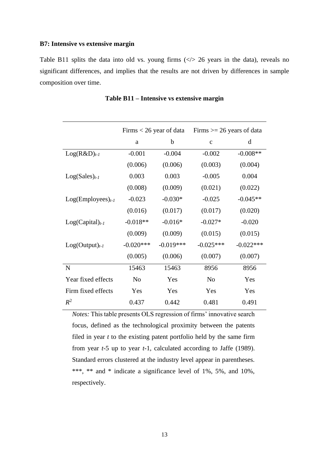#### **B7: Intensive vs extensive margin**

Table B11 splits the data into old vs. young firms  $(\langle \rangle > 26$  years in the data), reveals no significant differences, and implies that the results are not driven by differences in sample composition over time.

|                       | Firms $<$ 26 year of data |             | Firms $\ge$ 26 years of data |             |
|-----------------------|---------------------------|-------------|------------------------------|-------------|
|                       | a                         | b           | $\mathbf{C}$                 | d           |
| $Log(R&D)_{t-1}$      | $-0.001$                  | $-0.004$    | $-0.002$                     | $-0.008**$  |
|                       | (0.006)                   | (0.006)     | (0.003)                      | (0.004)     |
| $Log(Sales)_{t-1}$    | 0.003                     | 0.003       | $-0.005$                     | 0.004       |
|                       | (0.008)                   | (0.009)     | (0.021)                      | (0.022)     |
| $Log(Employes)_{t-1}$ | $-0.023$                  | $-0.030*$   | $-0.025$                     | $-0.045**$  |
|                       | (0.016)                   | (0.017)     | (0.017)                      | (0.020)     |
| $Log(Capital)_{t-1}$  | $-0.018**$                | $-0.016*$   | $-0.027*$                    | $-0.020$    |
|                       | (0.009)                   | (0.009)     | (0.015)                      | (0.015)     |
| $Log(Output)_{t-1}$   | $-0.020***$               | $-0.019***$ | $-0.025***$                  | $-0.022***$ |
|                       | (0.005)                   | (0.006)     | (0.007)                      | (0.007)     |
| N                     | 15463                     | 15463       | 8956                         | 8956        |
| Year fixed effects    | N <sub>o</sub>            | Yes         | N <sub>o</sub>               | Yes         |
| Firm fixed effects    | Yes                       | Yes         | Yes                          | Yes         |
| $R^2$                 | 0.437                     | 0.442       | 0.481                        | 0.491       |

|  | Table B11 – Intensive vs extensive margin |  |
|--|-------------------------------------------|--|
|  |                                           |  |

*Notes:* This table presents OLS regression of firms' innovative search focus, defined as the technological proximity between the patents filed in year *t* to the existing patent portfolio held by the same firm from year *t*-5 up to year *t*-1, calculated according to Jaffe (1989). Standard errors clustered at the industry level appear in parentheses. \*\*\*, \*\* and \* indicate a significance level of 1%, 5%, and 10%, respectively.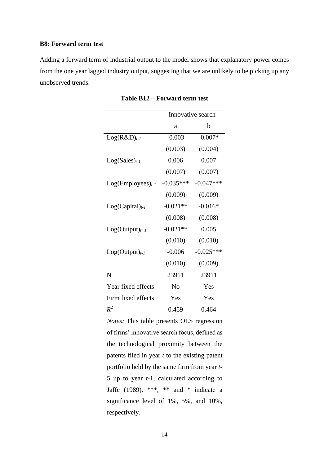## **B8: Forward term test**

Adding a forward term of industrial output to the model shows that explanatory power comes from the one year lagged industry output, suggesting that we are unlikely to be picking up any unobserved trends.

|                       | Innovative search |             |
|-----------------------|-------------------|-------------|
|                       | a                 | b           |
| $Log(R&D)_{t-1}$      | $-0.003$          | $-0.007*$   |
|                       | (0.003)           | (0.004)     |
| $Log(Sales)_{t-1}$    | 0.006             | 0.007       |
|                       | (0.007)           | (0.007)     |
| $Log(Employes)_{t-1}$ | $-0.035***$       | $-0.047***$ |
|                       | (0.009)           | (0.009)     |
| $Log(Capital)_{t-1}$  | $-0.021**$        | $-0.016*$   |
|                       | (0.008)           | (0.008)     |
| $Log(Output)_{t+1})$  | $-0.021**$        | 0.005       |
|                       | (0.010)           | (0.010)     |
| $Log(Output)_{t-1}$   | $-0.006$          | $-0.025***$ |
|                       | (0.010)           | (0.009)     |
| N                     | 23911             | 23911       |
| Year fixed effects    | No                | Yes         |
| Firm fixed effects    | Yes               | Yes         |
| $R^2$                 | 0.459             | 0.464       |

**Table B12 – Forward term test**

*Notes:* This table presents OLS regression of firms' innovative search focus, defined as the technological proximity between the patents filed in year *t* to the existing patent portfolio held by the same firm from year *t*-5 up to year *t*-1, calculated according to Jaffe (1989). \*\*\*, \*\* and \* indicate a significance level of 1%, 5%, and 10%, respectively.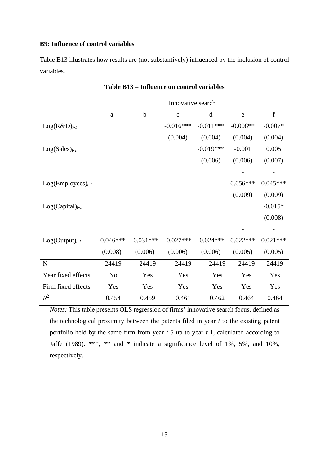## **B9: Influence of control variables**

Table B13 illustrates how results are (not substantively) influenced by the inclusion of control variables.

|                       |             |             | Innovative search |             |            |             |
|-----------------------|-------------|-------------|-------------------|-------------|------------|-------------|
|                       | $\rm{a}$    | $\mathbf b$ | $\mathbf C$       | $\mathbf d$ | ${\rm e}$  | $\mathbf f$ |
| $Log(R&D)_{t-1}$      |             |             | $-0.016***$       | $-0.011***$ | $-0.008**$ | $-0.007*$   |
|                       |             |             | (0.004)           | (0.004)     | (0.004)    | (0.004)     |
| $Log(Sales)_{t-1}$    |             |             |                   | $-0.019***$ | $-0.001$   | 0.005       |
|                       |             |             |                   | (0.006)     | (0.006)    | (0.007)     |
|                       |             |             |                   |             |            |             |
| $Log(Employes)_{t-1}$ |             |             |                   |             | $0.056***$ | $0.045***$  |
|                       |             |             |                   |             | (0.009)    | (0.009)     |
| $Log(Capital)_{t-1}$  |             |             |                   |             |            | $-0.015*$   |
|                       |             |             |                   |             |            | (0.008)     |
|                       |             |             |                   |             |            |             |
| $Log(Output)_{t-1}$   | $-0.046***$ | $-0.031***$ | $-0.027***$       | $-0.024***$ | $0.022***$ | $0.021***$  |
|                       | (0.008)     | (0.006)     | (0.006)           | (0.006)     | (0.005)    | (0.005)     |
| ${\bf N}$             | 24419       | 24419       | 24419             | 24419       | 24419      | 24419       |
| Year fixed effects    | No          | Yes         | Yes               | Yes         | Yes        | Yes         |
| Firm fixed effects    | Yes         | Yes         | Yes               | Yes         | Yes        | Yes         |
| $R^2$                 | 0.454       | 0.459       | 0.461             | 0.462       | 0.464      | 0.464       |

*Notes:* This table presents OLS regression of firms' innovative search focus, defined as the technological proximity between the patents filed in year *t* to the existing patent portfolio held by the same firm from year *t*-5 up to year *t*-1, calculated according to Jaffe (1989). \*\*\*, \*\* and \* indicate a significance level of 1%, 5%, and 10%, respectively.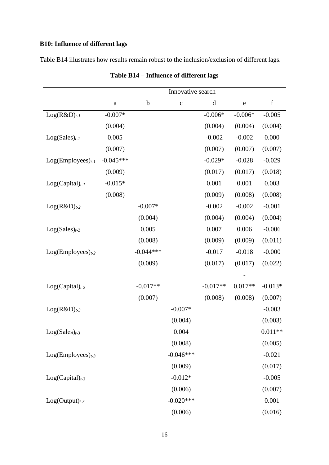## **B10: Influence of different lags**

Table B14 illustrates how results remain robust to the inclusion/exclusion of different lags.

|                       | Innovative search |             |             |             |             |             |
|-----------------------|-------------------|-------------|-------------|-------------|-------------|-------------|
|                       | $\rm{a}$          | $\mathbf b$ | $\mathbf C$ | $\mathbf d$ | $\mathbf e$ | $\mathbf f$ |
| $Log(R&D)_{t-1}$      | $-0.007*$         |             |             | $-0.006*$   | $-0.006*$   | $-0.005$    |
|                       | (0.004)           |             |             | (0.004)     | (0.004)     | (0.004)     |
| $Log(Sales)_{t-1}$    | 0.005             |             |             | $-0.002$    | $-0.002$    | 0.000       |
|                       | (0.007)           |             |             | (0.007)     | (0.007)     | (0.007)     |
| $Log(Employes)_{t-1}$ | $-0.045***$       |             |             | $-0.029*$   | $-0.028$    | $-0.029$    |
|                       | (0.009)           |             |             | (0.017)     | (0.017)     | (0.018)     |
| $Log(Capital)_{t-1}$  | $-0.015*$         |             |             | 0.001       | 0.001       | 0.003       |
|                       | (0.008)           |             |             | (0.009)     | (0.008)     | (0.008)     |
| $Log(R&D)_{t-2}$      |                   | $-0.007*$   |             | $-0.002$    | $-0.002$    | $-0.001$    |
|                       |                   | (0.004)     |             | (0.004)     | (0.004)     | (0.004)     |
| $Log(Sales)_{t-2}$    |                   | 0.005       |             | 0.007       | 0.006       | $-0.006$    |
|                       |                   | (0.008)     |             | (0.009)     | (0.009)     | (0.011)     |
| $Log(Employes)_{t-2}$ |                   | $-0.044***$ |             | $-0.017$    | $-0.018$    | $-0.000$    |
|                       |                   | (0.009)     |             | (0.017)     | (0.017)     | (0.022)     |
|                       |                   |             |             |             |             |             |
| $Log(Capital)_{t-2}$  |                   | $-0.017**$  |             | $-0.017**$  | $0.017**$   | $-0.013*$   |
|                       |                   | (0.007)     |             | (0.008)     | (0.008)     | (0.007)     |
| $Log(R&D)_{t-3}$      |                   |             | $-0.007*$   |             |             | $-0.003$    |
|                       |                   |             | (0.004)     |             |             | (0.003)     |
| $Log(Sales)_{t-3}$    |                   |             | 0.004       |             |             | $0.011**$   |
|                       |                   |             | (0.008)     |             |             | (0.005)     |
| $Log(Employes)_{t-3}$ |                   |             | $-0.046***$ |             |             | $-0.021$    |
|                       |                   |             | (0.009)     |             |             | (0.017)     |
| $Log(Capital)_{t-3}$  |                   |             | $-0.012*$   |             |             | $-0.005$    |
|                       |                   |             | (0.006)     |             |             | (0.007)     |
| $Log(Output)_{t-3}$   |                   |             | $-0.020***$ |             |             | 0.001       |
|                       |                   |             | (0.006)     |             |             | (0.016)     |

## **Table B14 – Influence of different lags**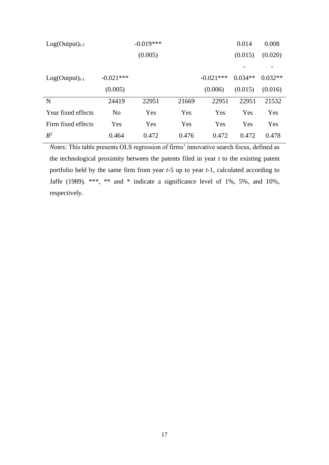| $Log(Output)_{t-2}$ |                | $-0.019***$ |       |             | 0.014     | 0.008     |
|---------------------|----------------|-------------|-------|-------------|-----------|-----------|
|                     |                | (0.005)     |       |             | (0.015)   | (0.020)   |
|                     |                |             |       |             |           |           |
| $Log(Output)_{t-1}$ | $-0.021***$    |             |       | $-0.021***$ | $0.034**$ | $0.032**$ |
|                     | (0.005)        |             |       | (0.006)     | (0.015)   | (0.016)   |
| N                   | 24419          | 22951       | 21669 | 22951       | 22951     | 21532     |
| Year fixed effects  | N <sub>0</sub> | Yes         | Yes   | Yes         | Yes       | Yes       |
| Firm fixed effects  | Yes            | Yes         | Yes   | Yes         | Yes       | Yes       |
| $R^2$               | 0.464          | 0.472       | 0.476 | 0.472       | 0.472     | 0.478     |

*Notes:* This table presents OLS regression of firms' innovative search focus, defined as the technological proximity between the patents filed in year *t* to the existing patent portfolio held by the same firm from year *t*-5 up to year *t*-1, calculated according to Jaffe (1989). \*\*\*, \*\* and \* indicate a significance level of 1%, 5%, and 10%, respectively.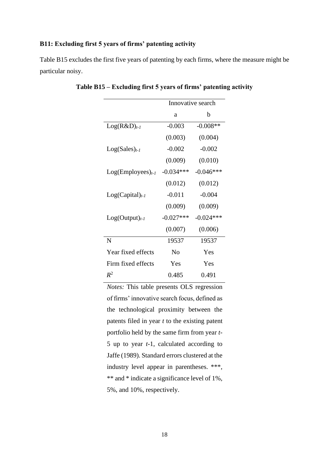## **B11: Excluding first 5 years of firms' patenting activity**

Table B15 excludes the first five years of patenting by each firms, where the measure might be particular noisy.

|                       | Innovative search |             |  |
|-----------------------|-------------------|-------------|--|
|                       | a                 | b           |  |
| $Log(R&D)_{t-1}$      | $-0.003$          | $-0.008**$  |  |
|                       | (0.003)           | (0.004)     |  |
| $Log(Sales)_{t-1}$    | $-0.002$          | $-0.002$    |  |
|                       | (0.009)           | (0.010)     |  |
| $Log(Employes)_{t-1}$ | $-0.034***$       | $-0.046***$ |  |
|                       | (0.012)           | (0.012)     |  |
| $Log(Capital)_{t-1}$  | $-0.011$          | $-0.004$    |  |
|                       | (0.009)           | (0.009)     |  |
| $Log(Output)_{t-1}$   | $-0.027***$       | $-0.024***$ |  |
|                       | (0.007)           | (0.006)     |  |
| N                     | 19537             | 19537       |  |
| Year fixed effects    | No                | Yes         |  |
| Firm fixed effects    | Yes               | Yes         |  |
| $R^2$                 | 0.485             | 0.491       |  |

**Table B15 – Excluding first 5 years of firms' patenting activity**

*Notes:* This table presents OLS regression of firms' innovative search focus, defined as the technological proximity between the patents filed in year *t* to the existing patent portfolio held by the same firm from year *t*-5 up to year *t*-1, calculated according to Jaffe (1989). Standard errors clustered at the industry level appear in parentheses. \*\*\*, \*\* and \* indicate a significance level of 1%, 5%, and 10%, respectively.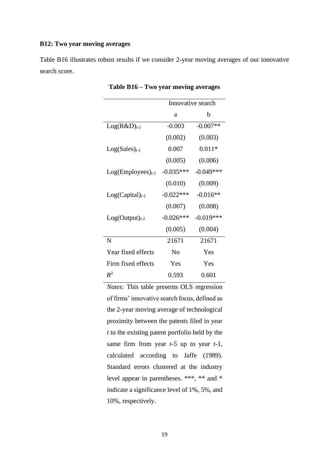## **B12: Two year moving averages**

Table B16 illustrates robust results if we consider 2-year moving averages of our innovative search score.

|                       | Innovative search |             |  |
|-----------------------|-------------------|-------------|--|
|                       | a                 | b           |  |
| $Log(R&D)_{t-1}$      | $-0.003$          | $-0.007**$  |  |
|                       | (0.002)           | (0.003)     |  |
| $Log(Sales)_{t-1}$    | 0.007             | $0.011*$    |  |
|                       | (0.005)           | (0.006)     |  |
| $Log(Employes)_{t-1}$ | $-0.035***$       | $-0.049***$ |  |
|                       | (0.010)           | (0.009)     |  |
| $Log(Capital)_{t-1}$  | $-0.022***$       | $-0.016**$  |  |
|                       | (0.007)           | (0.008)     |  |
| $Log(Output)_{t-1}$   | $-0.026***$       | $-0.019***$ |  |
|                       | (0.005)           | (0.004)     |  |
| N                     | 21671             | 21671       |  |
| Year fixed effects    | No                | Yes         |  |
| Firm fixed effects    | Yes               | Yes         |  |
| $R^2$                 | 0.593             | 0.601       |  |

*Notes:* This table presents OLS regression of firms' innovative search focus, defined as the 2-year moving average of technological proximity between the patents filed in year *t* to the existing patent portfolio held by the same firm from year *t*-5 up to year *t*-1, calculated according to Jaffe (1989). Standard errors clustered at the industry level appear in parentheses. \*\*\*, \*\* and \* indicate a significance level of 1%, 5%, and 10%, respectively.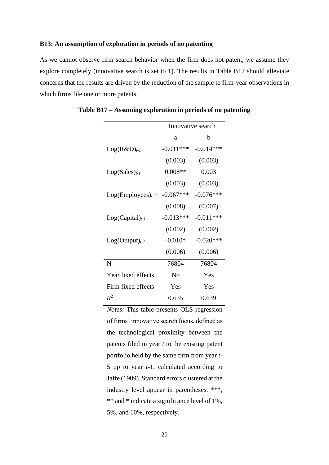## **B13: An assumption of exploration in periods of no patenting**

As we cannot observe firm search behavior when the firm does not patent, we assume they explore completely (innovative search is set to 1). The results in Table B17 should alleviate concerns that the results are driven by the reduction of the sample to firm-year observations in which firms file one or more patents.

|                       | Innovative search |              |  |
|-----------------------|-------------------|--------------|--|
|                       | a                 | b            |  |
| $Log(R&D)_{t-1}$      | $-0.011***$       | $-0.014***$  |  |
|                       | (0.003)           | (0.003)      |  |
| $Log(Sales)_{t-1}$    | $0.008**$         | 0.003        |  |
|                       | (0.003)           | (0.003)      |  |
| $Log(Employes)_{t-1}$ | $-0.067***$       | $-0.076***$  |  |
|                       | (0.008)           | (0.007)      |  |
| $Log(Capital)_{t-1}$  | $-0.013***$       | $-0.011***$  |  |
|                       | (0.002)           | (0.002)      |  |
| $Log(Output)_{t-1}$   | $-0.010*$         | $-0.020$ *** |  |
|                       | (0.006)           | (0.006)      |  |
| N                     | 76804             | 76804        |  |
| Year fixed effects    | No                | Yes          |  |
| Firm fixed effects    | Yes               | Yes          |  |
| $R^2$                 | 0.635             | 0.639        |  |

**Table B17 – Assuming exploration in periods of no patenting**

*Notes:* This table presents OLS regression of firms' innovative search focus, defined as the technological proximity between the patents filed in year *t* to the existing patent portfolio held by the same firm from year *t*-5 up to year *t*-1, calculated according to Jaffe (1989). Standard errors clustered at the industry level appear in parentheses. \*\*\*, \*\* and \* indicate a significance level of 1%, 5%, and 10%, respectively.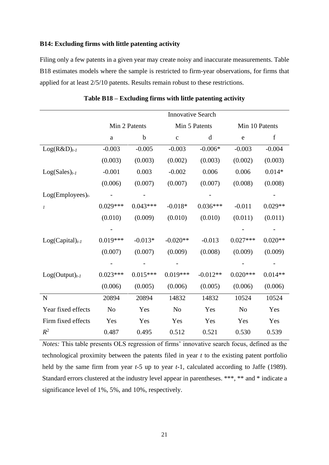## **B14: Excluding firms with little patenting activity**

Filing only a few patents in a given year may create noisy and inaccurate measurements. Table B18 estimates models where the sample is restricted to firm-year observations, for firms that applied for at least 2/5/10 patents. Results remain robust to these restrictions.

|                      | <b>Innovative Search</b> |            |                |            |                |           |
|----------------------|--------------------------|------------|----------------|------------|----------------|-----------|
|                      | Min 2 Patents            |            | Min 5 Patents  |            | Min 10 Patents |           |
|                      | $\mathbf{a}$             | b          | $\mathbf{C}$   | d          | $\mathbf e$    | f         |
| $Log(R&D)_{t-1}$     | $-0.003$                 | $-0.005$   | $-0.003$       | $-0.006*$  | $-0.003$       | $-0.004$  |
|                      | (0.003)                  | (0.003)    | (0.002)        | (0.003)    | (0.002)        | (0.003)   |
| $Log(Sales)_{t-1}$   | $-0.001$                 | 0.003      | $-0.002$       | 0.006      | 0.006          | $0.014*$  |
|                      | (0.006)                  | (0.007)    | (0.007)        | (0.007)    | (0.008)        | (0.008)   |
| $Log(Employes)t$ .   |                          |            |                |            |                |           |
| $\mathfrak{1}$       | $0.029***$               | $0.043***$ | $-0.018*$      | $0.036***$ | $-0.011$       | $0.029**$ |
|                      | (0.010)                  | (0.009)    | (0.010)        | (0.010)    | (0.011)        | (0.011)   |
|                      |                          |            |                |            |                |           |
| $Log(Capital)_{t-1}$ | $0.019***$               | $-0.013*$  | $-0.020**$     | $-0.013$   | $0.027***$     | $0.020**$ |
|                      | (0.007)                  | (0.007)    | (0.009)        | (0.008)    | (0.009)        | (0.009)   |
|                      |                          |            |                |            |                |           |
| $Log(Output)_{t-1}$  | $0.023***$               | $0.015***$ | $0.019***$     | $-0.012**$ | $0.020***$     | $0.014**$ |
|                      | (0.006)                  | (0.005)    | (0.006)        | (0.005)    | (0.006)        | (0.006)   |
| $\mathbf N$          | 20894                    | 20894      | 14832          | 14832      | 10524          | 10524     |
| Year fixed effects   | N <sub>o</sub>           | Yes        | N <sub>o</sub> | Yes        | N <sub>o</sub> | Yes       |
| Firm fixed effects   | Yes                      | Yes        | Yes            | Yes        | Yes            | Yes       |
| $R^2$                | 0.487                    | 0.495      | 0.512          | 0.521      | 0.530          | 0.539     |

**Table B18 – Excluding firms with little patenting activity**

*Notes:* This table presents OLS regression of firms' innovative search focus, defined as the technological proximity between the patents filed in year *t* to the existing patent portfolio held by the same firm from year *t*-5 up to year *t*-1, calculated according to Jaffe (1989). Standard errors clustered at the industry level appear in parentheses. \*\*\*, \*\* and \* indicate a significance level of 1%, 5%, and 10%, respectively.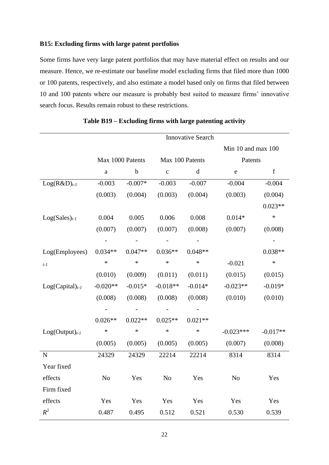## **B15: Excluding firms with large patent portfolios**

Some firms have very large patent portfolios that may have material effect on results and our measure. Hence, we re-estimate our baseline model excluding firms that filed more than 1000 or 100 patents, respectively, and also estimate a model based only on firms that filed between 10 and 100 patents where our measure is probably best suited to measure firms' innovative search focus. Results remain robust to these restrictions.

|                      |                  |             |                 | <b>Innovative Search</b> |                    |             |
|----------------------|------------------|-------------|-----------------|--------------------------|--------------------|-------------|
|                      |                  |             |                 |                          | Min 10 and max 100 |             |
|                      | Max 1000 Patents |             | Max 100 Patents |                          | Patents            |             |
|                      | a                | $\mathbf b$ | $\mathbf c$     | $\mathbf d$              | $\mathbf e$        | $\mathbf f$ |
| $Log(R&D)_{t-1}$     | $-0.003$         | $-0.007*$   | $-0.003$        | $-0.007$                 | $-0.004$           | $-0.004$    |
|                      | (0.003)          | (0.004)     | (0.003)         | (0.004)                  | (0.003)            | (0.004)     |
|                      |                  |             |                 |                          |                    | $0.023**$   |
| $Log(Sales)_{t-1}$   | 0.004            | 0.005       | 0.006           | 0.008                    | $0.014*$           | $\ast$      |
|                      | (0.007)          | (0.007)     | (0.007)         | (0.008)                  | (0.007)            | (0.008)     |
|                      |                  |             |                 |                          |                    |             |
| Log(Employees)       | $0.034**$        | $0.047**$   | $0.036**$       | $0.048**$                |                    | $0.038**$   |
| $t-1$                | $\ast$           | $\ast$      | $\ast$          | $\ast$                   | $-0.021$           | $\ast$      |
|                      | (0.010)          | (0.009)     | (0.011)         | (0.011)                  | (0.015)            | (0.015)     |
| $Log(Capital)_{t-1}$ | $-0.020**$       | $-0.015*$   | $-0.018**$      | $-0.014*$                | $-0.023**$         | $-0.019*$   |
|                      | (0.008)          | (0.008)     | (0.008)         | (0.008)                  | (0.010)            | (0.010)     |
|                      |                  |             |                 |                          |                    |             |
|                      | $0.026**$        | $0.022**$   | $0.025**$       | $0.021**$                |                    |             |
| $Log(Output)_{t-1}$  | $\ast$           | $\ast$      | $\ast$          | $\ast$                   | $-0.023***$        | $-0.017**$  |
|                      | (0.005)          | (0.005)     | (0.005)         | (0.005)                  | (0.007)            | (0.008)     |
| $\mathbf N$          | 24329            | 24329       | 22214           | 22214                    | 8314               | 8314        |
| Year fixed           |                  |             |                 |                          |                    |             |
| effects              | N <sub>o</sub>   | Yes         | N <sub>o</sub>  | Yes                      | N <sub>o</sub>     | Yes         |
| Firm fixed           |                  |             |                 |                          |                    |             |
| effects              | Yes              | Yes         | Yes             | Yes                      | Yes                | Yes         |
| $R^2$                | 0.487            | 0.495       | 0.512           | 0.521                    | 0.530              | 0.539       |

## **Table B19 – Excluding firms with large patenting activity**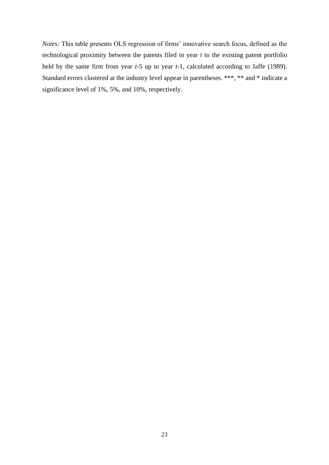*Notes:* This table presents OLS regression of firms' innovative search focus, defined as the technological proximity between the patents filed in year *t* to the existing patent portfolio held by the same firm from year *t*-5 up to year *t*-1, calculated according to Jaffe (1989). Standard errors clustered at the industry level appear in parentheses. \*\*\*, \*\* and \* indicate a significance level of 1%, 5%, and 10%, respectively.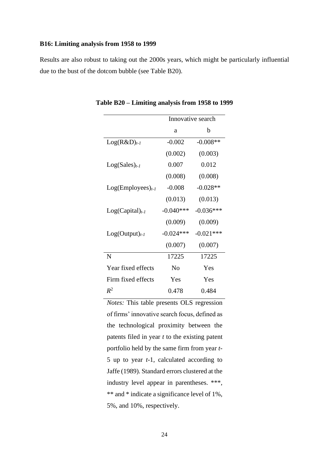## **B16: Limiting analysis from 1958 to 1999**

Results are also robust to taking out the 2000s years, which might be particularly influential due to the bust of the dotcom bubble (see Table B20).

|                       | Innovative search |             |  |
|-----------------------|-------------------|-------------|--|
|                       | a                 | b           |  |
| $Log(R&D)_{t-1}$      | $-0.002$          | $-0.008**$  |  |
|                       | (0.002)           | (0.003)     |  |
| $Log(Sales)_{t-1}$    | 0.007             | 0.012       |  |
|                       | (0.008)           | (0.008)     |  |
| $Log(Employes)_{t-1}$ | $-0.008$          | $-0.028**$  |  |
|                       | (0.013)           | (0.013)     |  |
| $Log(Capital)_{t-1}$  | $-0.040***$       | $-0.036***$ |  |
|                       | (0.009)           | (0.009)     |  |
| $Log(Output)_{t-1}$   | $-0.024***$       | $-0.021***$ |  |
|                       | (0.007)           | (0.007)     |  |
| N                     | 17225             | 17225       |  |
| Year fixed effects    | N <sub>0</sub>    | Yes         |  |
| Firm fixed effects    | Yes               | Yes         |  |
| $R^2$                 | 0.478             | 0.484       |  |

**Table B20 – Limiting analysis from 1958 to 1999**

*Notes:* This table presents OLS regression of firms' innovative search focus, defined as the technological proximity between the patents filed in year *t* to the existing patent portfolio held by the same firm from year *t*-5 up to year *t*-1, calculated according to Jaffe (1989). Standard errors clustered at the industry level appear in parentheses. \*\*\*, \*\* and \* indicate a significance level of 1%, 5%, and 10%, respectively.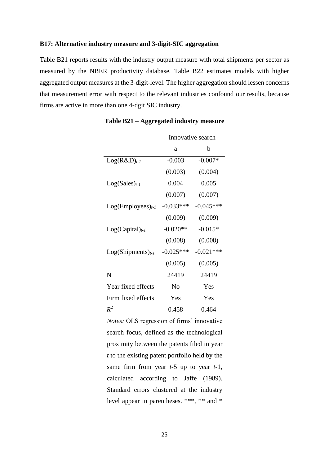## **B17: Alternative industry measure and 3-digit-SIC aggregation**

Table B21 reports results with the industry output measure with total shipments per sector as measured by the NBER productivity database. Table B22 estimates models with higher aggregated output measures at the 3-digit-level. The higher aggregation should lessen concerns that measurement error with respect to the relevant industries confound our results, because firms are active in more than one 4-dgit SIC industry.

|                        | Innovative search |             |  |
|------------------------|-------------------|-------------|--|
|                        | a                 | b           |  |
| $Log(R&D)_{t-1}$       | $-0.003$          | $-0.007*$   |  |
|                        | (0.003)           | (0.004)     |  |
| $Log(Sales)_{t-1}$     | 0.004             | 0.005       |  |
|                        | (0.007)           | (0.007)     |  |
| $Log(Employes)_{t-1}$  | $-0.033***$       | $-0.045***$ |  |
|                        | (0.009)           | (0.009)     |  |
| $Log(Capital)_{t-1}$   | $-0.020**$        | $-0.015*$   |  |
|                        | (0.008)           | (0.008)     |  |
| $Log(Shipments)_{t-1}$ | $-0.025***$       | $-0.021***$ |  |
|                        | (0.005)           | (0.005)     |  |
| N                      | 24419             | 24419       |  |
| Year fixed effects     | N <sub>0</sub>    | Yes         |  |
| Firm fixed effects     | Yes               | Yes         |  |
| $R^2$                  | 0.458             | 0.464       |  |

**Table B21 – Aggregated industry measure**

*Notes:* OLS regression of firms' innovative search focus, defined as the technological proximity between the patents filed in year *t* to the existing patent portfolio held by the same firm from year *t*-5 up to year *t*-1, calculated according to Jaffe (1989). Standard errors clustered at the industry level appear in parentheses. \*\*\*, \*\* and \*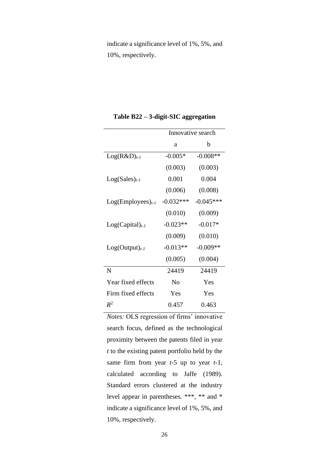indicate a significance level of 1%, 5%, and 10%, respectively.

|                       | Innovative search |             |  |
|-----------------------|-------------------|-------------|--|
|                       | a                 | b           |  |
| $Log(R&D)_{t-1}$      | $-0.005*$         | $-0.008**$  |  |
|                       | (0.003)           | (0.003)     |  |
| $Log(Sales)_{t-1}$    | 0.001             | 0.004       |  |
|                       | (0.006)           | (0.008)     |  |
| $Log(Employes)_{t-1}$ | $-0.032***$       | $-0.045***$ |  |
|                       | (0.010)           | (0.009)     |  |
| $Log(Capital)_{t-1}$  | $-0.023**$        | $-0.017*$   |  |
|                       | (0.009)           | (0.010)     |  |
| $Log(Output)_{t-1}$   | $-0.013**$        | $-0.009**$  |  |
|                       | (0.005)           | (0.004)     |  |
| N                     | 24419             | 24419       |  |
| Year fixed effects    | N <sub>0</sub>    | Yes         |  |
| Firm fixed effects    | Yes               | Yes         |  |
| $R^2$                 | 0.457             | 0.463       |  |

**Table B22 – 3-digit-SIC aggregation** 

*Notes:* OLS regression of firms' innovative search focus, defined as the technological proximity between the patents filed in year *t* to the existing patent portfolio held by the same firm from year *t*-5 up to year *t*-1, calculated according to Jaffe (1989). Standard errors clustered at the industry level appear in parentheses. \*\*\*, \*\* and \* indicate a significance level of 1%, 5%, and 10%, respectively.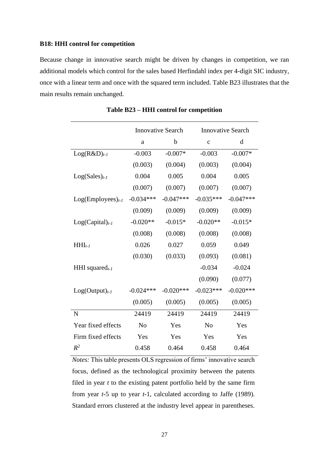## **B18: HHI control for competition**

Because change in innovative search might be driven by changes in competition, we ran additional models which control for the sales based Herfindahl index per 4-digit SIC industry, once with a linear term and once with the squared term included. Table B23 illustrates that the main results remain unchanged.

|                       | <b>Innovative Search</b> |             | <b>Innovative Search</b> |             |
|-----------------------|--------------------------|-------------|--------------------------|-------------|
|                       | a                        | $\mathbf b$ | $\mathbf{C}$             | d           |
| $Log(R&D)_{t-1}$      | $-0.003$                 | $-0.007*$   | $-0.003$                 | $-0.007*$   |
|                       | (0.003)                  | (0.004)     | (0.003)                  | (0.004)     |
| $Log(Sales)_{t-1}$    | 0.004                    | 0.005       | 0.004                    | 0.005       |
|                       | (0.007)                  | (0.007)     | (0.007)                  | (0.007)     |
| $Log(Employes)_{t-1}$ | $-0.034***$              | $-0.047***$ | $-0.035***$              | $-0.047***$ |
|                       | (0.009)                  | (0.009)     | (0.009)                  | (0.009)     |
| $Log(Capital)_{t-1}$  | $-0.020**$               | $-0.015*$   | $-0.020**$               | $-0.015*$   |
|                       | (0.008)                  | (0.008)     | (0.008)                  | (0.008)     |
| $HHI_{t-1}$           | 0.026                    | 0.027       | 0.059                    | 0.049       |
|                       | (0.030)                  | (0.033)     | (0.093)                  | (0.081)     |
| HHI squared $_{t-1}$  |                          |             | $-0.034$                 | $-0.024$    |
|                       |                          |             | (0.090)                  | (0.077)     |
| $Log(Output)_{t-1}$   | $-0.024***$              | $-0.020***$ | $-0.023***$              | $-0.020***$ |
|                       | (0.005)                  | (0.005)     | (0.005)                  | (0.005)     |
| N                     | 24419                    | 24419       | 24419                    | 24419       |
| Year fixed effects    | N <sub>o</sub>           | Yes         | N <sub>0</sub>           | Yes         |
| Firm fixed effects    | Yes                      | Yes         | Yes                      | Yes         |
| $R^2$                 | 0.458                    | 0.464       | 0.458                    | 0.464       |

**Table B23 – HHI control for competition**

*Notes:* This table presents OLS regression of firms' innovative search focus, defined as the technological proximity between the patents filed in year *t* to the existing patent portfolio held by the same firm from year *t*-5 up to year *t*-1, calculated according to Jaffe (1989). Standard errors clustered at the industry level appear in parentheses.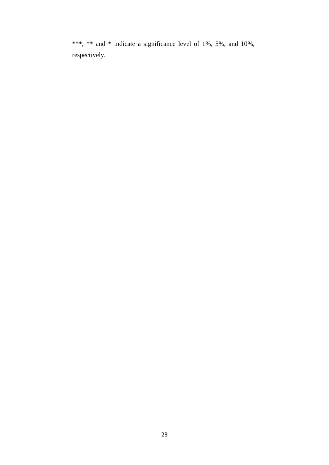\*\*\*, \*\* and \* indicate a significance level of 1%, 5%, and 10%, respectively.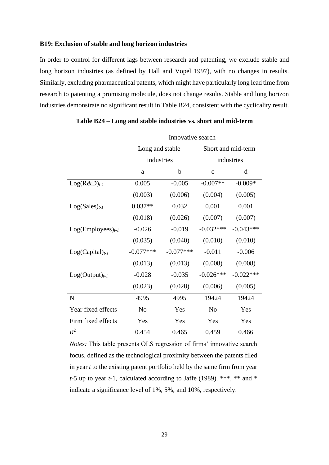## **B19: Exclusion of stable and long horizon industries**

In order to control for different lags between research and patenting, we exclude stable and long horizon industries (as defined by Hall and Vopel 1997), with no changes in results. Similarly, excluding pharmaceutical patents, which might have particularly long lead time from research to patenting a promising molecule, does not change results. Stable and long horizon industries demonstrate no significant result in Table B24, consistent with the cyclicality result.

|                       | Innovative search             |             |                    |             |
|-----------------------|-------------------------------|-------------|--------------------|-------------|
|                       | Long and stable<br>industries |             | Short and mid-term |             |
|                       |                               |             | industries         |             |
|                       | a                             | b           | $\mathbf{C}$       | d           |
| $Log(R&D)_{t-1}$      | 0.005                         | $-0.005$    | $-0.007**$         | $-0.009*$   |
|                       | (0.003)                       | (0.006)     | (0.004)            | (0.005)     |
| $Log(Sales)_{t-1}$    | $0.037**$                     | 0.032       | 0.001              | 0.001       |
|                       | (0.018)                       | (0.026)     | (0.007)            | (0.007)     |
| $Log(Employes)_{t-1}$ | $-0.026$                      | $-0.019$    | $-0.032***$        | $-0.043***$ |
|                       | (0.035)                       | (0.040)     | (0.010)            | (0.010)     |
| $Log(Capital)_{t-1}$  | $-0.077***$                   | $-0.077***$ | $-0.011$           | $-0.006$    |
|                       | (0.013)                       | (0.013)     | (0.008)            | (0.008)     |
| $Log(Output)_{t-1}$   | $-0.028$                      | $-0.035$    | $-0.026***$        | $-0.022***$ |
|                       | (0.023)                       | (0.028)     | (0.006)            | (0.005)     |
| N                     | 4995                          | 4995        | 19424              | 19424       |
| Year fixed effects    | N <sub>0</sub>                | Yes         | N <sub>0</sub>     | Yes         |
| Firm fixed effects    | Yes                           | Yes         | Yes                | Yes         |
| $R^2$                 | 0.454                         | 0.465       | 0.459              | 0.466       |

**Table B24 – Long and stable industries vs. short and mid-term**

*Notes:* This table presents OLS regression of firms' innovative search focus, defined as the technological proximity between the patents filed in year *t* to the existing patent portfolio held by the same firm from year *t*-5 up to year *t*-1, calculated according to Jaffe (1989). \*\*\*, \*\* and \* indicate a significance level of 1%, 5%, and 10%, respectively.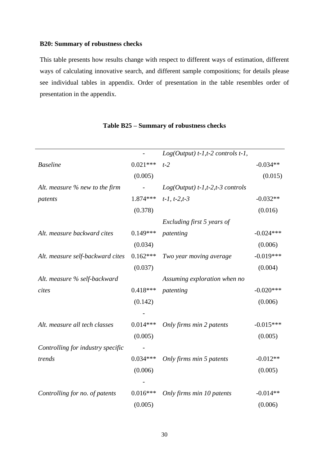## **B20: Summary of robustness checks**

This table presents how results change with respect to different ways of estimation, different ways of calculating innovative search, and different sample compositions; for details please see individual tables in appendix. Order of presentation in the table resembles order of presentation in the appendix.

|                                   |            | $Log(Output)$ t-1,t-2 controls t-1, |             |
|-----------------------------------|------------|-------------------------------------|-------------|
| <b>Baseline</b>                   | $0.021***$ | $t-2$                               | $-0.034**$  |
|                                   | (0.005)    |                                     | (0.015)     |
| Alt. measure $%$ new to the firm  |            | $Log(Output) t-1,t-2,t-3 controls$  |             |
| patents                           | 1.874***   | $t-1$ , $t-2$ , $t-3$               | $-0.032**$  |
|                                   | (0.378)    |                                     | (0.016)     |
|                                   |            | Excluding first 5 years of          |             |
| Alt. measure backward cites       | $0.149***$ | patenting                           | $-0.024***$ |
|                                   | (0.034)    |                                     | (0.006)     |
| Alt. measure self-backward cites  | $0.162***$ | Two year moving average             | $-0.019***$ |
|                                   | (0.037)    |                                     | (0.004)     |
| Alt. measure % self-backward      |            | Assuming exploration when no        |             |
| cites                             | $0.418***$ | patenting                           | $-0.020***$ |
|                                   | (0.142)    |                                     | (0.006)     |
|                                   |            |                                     |             |
| Alt. measure all tech classes     | $0.014***$ | Only firms min 2 patents            | $-0.015***$ |
|                                   | (0.005)    |                                     | (0.005)     |
| Controlling for industry specific |            |                                     |             |
| trends                            | $0.034***$ | Only firms min 5 patents            | $-0.012**$  |
|                                   | (0.006)    |                                     | (0.005)     |
|                                   |            |                                     |             |
| Controlling for no. of patents    | $0.016***$ | Only firms min 10 patents           | $-0.014**$  |
|                                   | (0.005)    |                                     | (0.006)     |

## **Table B25 – Summary of robustness checks**